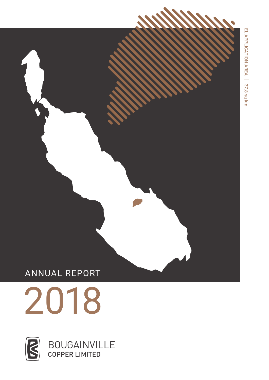## ANNUAL REPORT



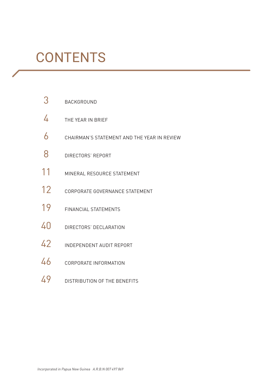## **CONTENTS**

- 3 BACKGROUND
- 4 THE YEAR IN BRIEF
- $6$  CHAIRMAN'S STATEMENT AND THE YEAR IN REVIEW
- 8 **DIRECTORS' REPORT**
- 11 MINERAL RESOURCE STATEMENT
- 12 CORPORATE GOVERNANCE STATEMENT
- 19 FINANCIAL STATEMENTS
- 40 DIRECTORS' DECLARATION
- 42 INDEPENDENT AUDIT REPORT
- 46 CORPORATE INFORMATION
- 49 DISTRIBUTION OF THE BENEFITS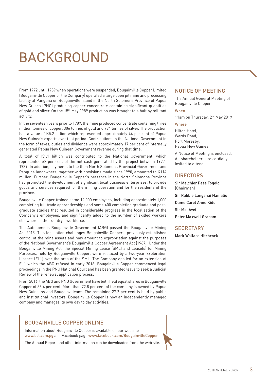## BACKGROUND

From 1972 until 1989 when operations were suspended, Bougainville Copper Limited (Bougainville Copper or the Company) operated a large open pit mine and processing facility at Panguna on Bougainville Island in the North Solomons Province of Papua New Guinea (PNG) producing copper concentrate containing significant quantities of gold and silver. On the 15th May 1989 production was brought to a halt by militant activity.

In the seventeen years prior to 1989, the mine produced concentrate containing three million tonnes of copper, 306 tonnes of gold and 784 tonnes of silver. The production had a value of K5.2 billion which represented approximately 44 per cent of Papua New Guinea's exports over that period. Contributions to the National Government in the form of taxes, duties and dividends were approximately 17 per cent of internally generated Papua New Guinean Government revenue during that time.

A total of K1.1 billion was contributed to the National Government, which represented 62 per cent of the net cash generated by the project between 1972- 1989. In addition, payments to the then North Solomons Provincial Government and Panguna landowners, together with provisions made since 1990, amounted to K114 million. Further, Bougainville Copper's presence in the North Solomons Province had promoted the development of significant local business enterprises, to provide goods and services required for the mining operation and for the residents of the province.

Bougainville Copper trained some 12,000 employees, including approximately 1,000 completing full trade apprenticeships and some 400 completing graduate and postgraduate studies that resulted in considerable progress in the localisation of the Company's employees, and significantly added to the number of skilled workers elsewhere in the country's workforce.

The Autonomous Bougainville Government (ABG) passed the Bougainville Mining Act 2015. This legislation challenges Bougainville Copper's previously established control of the mine assets and may amount to expropriation against the purposes of the National Government's Bougainville Copper Agreement Act (1967). Under the Bougainville Mining Act, the Special Mining Lease (SML) and Lease(s) for Mining Purposes, held by Bougainville Copper, were replaced by a two-year Exploration Licence (EL1) over the area of the SML. The Company applied for an extension of EL1 which the ABG refused in early 2018. Bougainville Copper commenced legal proceedings in the PNG National Court and has been granted leave to seek a Judicial Review of the renewal application process.

From 2016, the ABG and PNG Government have both held equal shares in Bougainville Copper of 36.4 per cent. More than 72.8 per cent of the company is owned by Papua New Guineans and Bougainvilleans. The remaining 27.2 per cent is held by public and institutional investors. Bougainville Copper is now an independently managed company and manages its own day to day activities.

## BOUGAINVILLE COPPER ONLINE

Information about Bougainville Copper is available on our web site www.bcl.com.pg and Facebook page www.facebook.com/BougainvilleCopper.

The Annual Report and other information can be downloaded from the web site.

### NOTICE OF MEETING

The Annual General Meeting of Bougainville Copper.

### When

11am on Thursday, 2<sup>nd</sup> May 2019

## Where

Hilton Hotel, Wards Road, Port Moresby, Papua New Guinea

A Notice of Meeting is enclosed. All shareholders are cordially invited to attend.

## **DIRECTORS**

Sir Melchior Pesa Togolo (Chairman) Sir Rabbie Langanai Namaliu Dame Carol Anne Kidu Sir Moi Avei Peter Maxwell Graham

## **SECRETARY**

Mark Wallace Hitchcock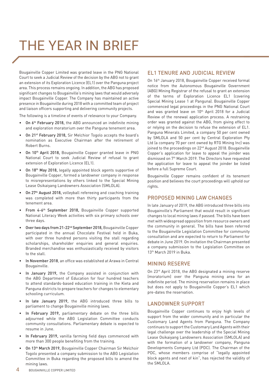## THE YEAR IN BRIEF

Bougainville Copper Limited was granted leave in the PNG National Court to seek a Judicial Review of the decision by the ABG not to grant an extension of its Exploration Licence (EL1) over the Panguna project area. This process remains ongoing. In addition, the ABG has proposed significant changes to Bougainville's mining laws that would adversely impact Bougainville Copper. The Company has maintained an active presence in Bougainville during 2018 with a committed team of project and liaison officers supporting and delivering community projects.

The following is a timeline of events of relevance to your Company.

- On 6<sup>th</sup> February 2018, the ABG announced an indefinite mining and exploration moratorium over the Panguna tenement area.
- • On 21st February 2018, Sir Melchior Togolo accepts the board's nomination as Executive Chairman after the retirement of Robert Burns.
- On 10<sup>th</sup> April 2018, Bougainville Copper granted leave in PNG National Court to seek Judicial Review of refusal to grant extension of Exploration Licence (EL1).
- On 18<sup>th</sup> May 2018, legally appointed block agents supportive of Bougainville Copper, formed a landowner company in response to misrepresentations by others linked to the Special Mining Lease Osikaiyang Landowners Association (SMLOLA).
- On 27<sup>th</sup> August 2018, volleyball refereeing and coaching training was completed with more than thirty participants from the tenement area.
- From 4-6<sup>th</sup> September 2018, Bougainville Copper supported National Literacy Week activities with six primary schools over three days.
- Over two days from 21-22<sup>nd</sup> September 2018, Bougainville Copper participated in the annual Chocolate Festival held in Buka, with over three hundred persons visiting the stall regarding scholarships, shareholder enquiries and general enquiries. Branded merchandise was enthusiastically received by visitors to the stall.
- In November 2018, an office was established at Arawa in Central Bougainville.
- In January 2019, the Company assisted in conjunction with the ABG Department of Education for four hundred teachers to attend standards-based education training in the Kieta and Panguna districts to prepare teachers for changes to elementary schooling curriculum.
- In late January 2019, the ABG introduced three bills to parliament to change Bougainville mining laws.
- In February 2019, parliamentary debate on the three bills adjourned while the ABG Legislation Committee conducts community consultations. Parliamentary debate is expected to resume in June.
- In February 2019, vanilla farming field days commenced with more than 300 people benefiting from the training.
- On 13<sup>th</sup> March 2019, Bougainville Copper Chairman Sir Melchoir Togolo presented a company submission to the ABG Legislation Committee in Buka regarding the proposed bills to amend the mining laws.

## EL1 TENURE AND JUDICIAL REVIEW

On 16<sup>th</sup> January 2018, Bougainville Copper received formal notice from the Autonomous Bougainville Government (ABG) Mining Registrar of the refusal to grant an extension of the terms of Exploration Licence EL1 (covering Special Mining Lease 1 at Panguna). Bougainville Copper commenced legal proceedings in the PNG National Court and was granted leave on 10<sup>th</sup> April 2018 for a Judicial Review of the renewal application process. A restraining order was granted against the ABG, from giving effect to or relying on the decision to refuse the extension of EL1. Panguna Minerals Limited, a company 50 per cent owned by SMLOLA and 50 per cent by Central Exploration Pty Ltd (a company 70 per cent owned by RTG Mining Inc) was joined to the proceedings on 22<sup>nd</sup> August 2018. Bougainville Copper's application for leave to appeal the joinder was dismissed on 7th March 2019. The Directors have requested the application for leave to appeal the joinder be listed before a full Supreme Court.

Bougainville Copper remains confident of its tenement position and believes the court proceedings will uphold our rights.

### PROPOSED MINING LAW CHANGES

In late January of 2019, the ABG introduced three bills into Bougainville's Parliament that would result in significant changes to local mining laws if passed. The bills have been met with widespread opposition from resource owners and the community in general. The bills have been referred to the Bougainville Legislation Committee for community consultation and are expected to return to Parliament for debate in June 2019. On invitation the Chairman presented a company submission to the Legislation Committee on 13<sup>th</sup> March 2019 in Buka.

### MINING RESERVE

On 23<sup>rd</sup> April 2018, the ABG designated a mining reserve (moratorium) over the Panguna mining area for an indefinite period. The mining reservation remains in place but does not apply to Bougainville Copper's EL1 which pre-dates the reservation.

## LANDOWNER SUPPORT

Bougainville Copper continues to enjoy high levels of support from the wider community and in particular the Customary Land Agents from Panguna. The Company continues to support the Customary Land Agents with their legal challenge over the leadership of the Special Mining Lease Osikaiyang Landowners Association (SMLOLA) and with the formation of a landowner company, Panguna Developments Company Ltd (PDC). The Chairman of the PDC, whose members comprise of "legally appointed block agents and next of kin", has rejected the validity of the SMLOLA.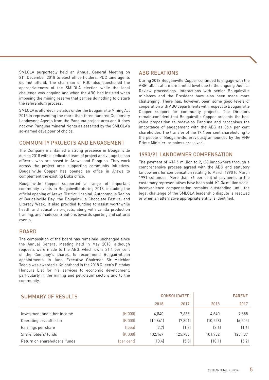SMLOLA purportedly held an Annual General Meeting on 21<sup>st</sup> December 2018 to elect office holders. PDC land agents did not attend. The chairman of PDC also questioned the appropriateness of the SMLOLA election while the legal challenge was ongoing and when the ABG had insisted when imposing the mining reserve that parties do nothing to disturb the referendum process.

SMLOLA is afforded no status under the Bougainville Mining Act 2015 in representing the more than three hundred Customary Landowner Agents from the Panguna project area and it does not own Panguna mineral rights as asserted by the SMLOLA's so-named developer of choice.

## COMMUNITY PROJECTS AND ENGAGEMENT

The Company maintained a strong presence in Bougainville during 2018 with a dedicated team of project and village liaison officers, who are based in Arawa and Panguna. They work across the project area supporting community initiatives. Bougainville Copper has opened an office in Arawa to complement the existing Buka office.

Bougainville Copper supported a range of important community events in Bougainville during 2018, including the official opening of Arawa District Hospital, Autonomous Region of Bougainville Day, the Bougainville Chocolate Festival and Literacy Week. It also provided funding to assist worthwhile health and education projects, along with vanilla production training, and made contributions towards sporting and cultural events.

### BOARD

The composition of the board has remained unchanged since the Annual General Meeting held in May 2018, although requests were made to the ABG, which owns 36.4 per cent of the Company's shares, to recommend Bougainvillean appointments. In June, Executive Chairman Sir Melchior Togolo was awarded a Knighthood in the 2018 Queen's Birthday Honours List for his services to economic development, particularly in the mining and petroleum sectors and to the community.

## ABG RELATIONS

During 2018 Bougainville Copper continued to engage with the ABG, albeit at a more limited level due to the ongoing Judicial Review proceedings. Interactions with senior Bougainville ministers and the President have also been made more challenging. There has, however, been some good levels of cooperation with ABG departments with respect to Bougainville Copper support for community projects. The Directors remain confident that Bougainville Copper presents the best value proposition to redevelop Panguna and recognises the importance of engagement with the ABG as 36.4 per cent shareholder. The transfer of the 17.4 per cent shareholding to the people of Bougainville, previously announced by the PNG Prime Minister, remains unresolved.

## 1990/91 LANDOWNER COMPENSATION

The payment of K14.6 million to 2,123 landowners through a comprehensive process agreed with the ABG and statutory landowners for compensation relating to March 1990 to March 1991 continues. More than 96 per cent of payments to the customary representatives have been paid. K1.36 million social inconvenience compensation remains outstanding until the legal challenge of the SMLOLA leadership dispute is resolved or when an alternative appropriate entity is identified.

| <b>SUMMARY OF RESULTS</b>     | <b>CONSOLIDATED</b> |          |         | <b>PARENT</b> |          |
|-------------------------------|---------------------|----------|---------|---------------|----------|
|                               |                     | 2018     | 2017    | 2018          | 2017     |
| Investment and other income   | (K.000)             | 4.840    | 7.635   | 4.840         | 7,555    |
| Operating loss after tax      | (K,000)             | (10.641) | (7.301) | (10.258)      | (6, 505) |
| Earnings per share            | (toea)              | [2.7]    | (1.8)   | [2.6]         | [1.6]    |
| Shareholders' funds           | (K,000)             | 102.167  | 125.785 | 101.902       | 125,137  |
| Return on shareholders' funds | (per cent)          | (10.4)   | (5.8)   | (10.1)        | (5.2)    |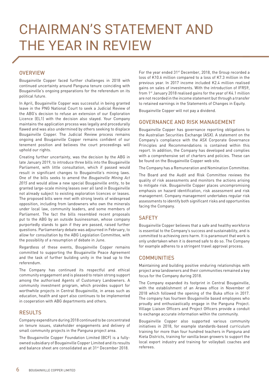## CHAIRMAN'S STATEMENT AND THE YEAR IN REVIEW

## **OVERVIEW**

Bougainville Copper faced further challenges in 2018 with continued uncertainty around Panguna tenure coinciding with Bougainville's ongoing preparations for the referendum on its political future.

In April, Bougainville Copper was successful in being granted leave in the PNG National Court to seek a Judicial Review of the ABG's decision to refuse an extension of our Exploration Licence (EL1) with the decision also stayed. Your Company maintains the application process was legally and procedurally flawed and was also undermined by others seeking to displace Bougainville Copper. The Judicial Review process remains ongoing and Bougainville Copper remains confident of our tenement position and believes the court proceedings will uphold our rights.

Creating further uncertainty, was the decision by the ABG in late January 2019, to introduce three bills into the Bougainville Parliament, with little consultation, which if passed would result in significant changes to Bougainville's mining laws. One of the bills seeks to amend the *Bougainville Mining Act 2015* and would allow a new special Bougainville entity, to be granted large-scale mining leases over all land in Bougainville not already subject to existing exploration licences or leases. The proposed bills were met with strong levels of widespread opposition, including from landowners who own the minerals under local law, community leaders, and some members of Parliament. The fact the bills resembled recent proposals put to the ABG by an outside businessman, whose company purportedly stands to gain if they are passed, raised further questions. Parliamentary debate was adjourned in February, to allow for consultation by the ABG Legislation Committee, with the possibility of a resumption of debate in June.

Regardless of these events, Bougainville Copper remains committed to supporting the Bougainville Peace Agreement and the task of further building unity in the lead up to the referendum.

The Company has continued its respectful and ethical community engagement and is pleased to retain strong support among the authorised Agents of Customary Landowners. A community investment program, which provides support for worthwhile projects in Central Bougainville, in areas such as education, health and sport also continues to be implemented in cooperation with ABG departments and others.

### RESULTS

Company expenditure during 2018 continued to be concentrated on tenure issues, stakeholder engagements and delivery of small community projects in the Panguna project area.

The Bougainville Copper Foundation Limited (BCF) is a fullyowned subsidiary of Bougainville Copper Limited and its results and balance sheet are consolidated as at 31<sup>st</sup> December 2018.

For the year ended 31<sup>st</sup> December, 2018, the Group recorded a loss of K10.6 million compared to a loss of K7.3 million in the previous year. In 2017 income included K2.4 million realised gains on sales of investments. With the introduction of IFRS9, from 1st January 2018 realised gains for the year of K4.1 million are not recorded in the income statement but through a transfer to retained earnings in the Statements of Changes in Equity.

Bougainville Copper will not pay a dividend.

## GOVERNANCE AND RISK MANAGEMENT

Bougainville Copper has governance reporting obligations to the Australian Securities Exchange (ASX). A statement on the Company's compliance with the ASX Corporate Governance Principles and Recommendations is contained within this report. In addition, the Company has developed and complies with a comprehensive set of charters and policies. These can be found on the Bougainville Copper web site.

The Company has a Remuneration and Nomination Committee.

The Board and the Audit and Risk Committee reviews the quality of risk assessments and monitors the actions arising to mitigate risk. Bougainville Copper places uncompromising emphasis on hazard identification, risk assessment and risk management. Company management undertakes regular risk assessments to identify both significant risks and opportunities facing the Company.

## **SAFFTY**

Bougainville Copper believes that a safe and healthy workforce is essential to the Company's success and sustainability, and is committed to achieving zero harm. It is paramount that work is only undertaken when it is deemed safe to do so. The Company for example adheres to a stringent travel approval process.

### COMMUNITIES

Maintaining and building positive enduring relationships with project area landowners and their communities remained a key focus for the Company during 2018.

The Company expanded its footprint in Central Bougainville, with the establishment of an Arawa office in November of 2018 which followed the opening of the Buka office in 2017. The company has fourteen Bougainville based employees who proudly and enthusiastically engage in the Panguna Project. Village Liaison Officers and Project Officers provide a conduit to exchange accurate information within the community.

Bougainville Copper also supported various community initiatives in 2018, for example standards-based curriculum training for more than four hundred teachers in Panguna and Kieta Districts, training for vanilla bean growers to support the local export industry and training for volleyball coaches and referees.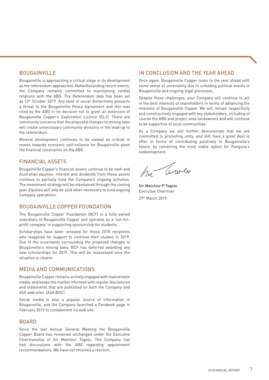## **BOUGAINVILLE**

Bougainville is approaching a critical stage in its development as the referendum approaches. Notwithstanding recent events, the Company remains committed to maintaining cordial relations with the ABG. The Referendum date has been set as 12<sup>th</sup> October 2019. Any level of social disharmony presents a threat to the Bougainville Peace Agreement and this was cited by the ABG in its decision not to grant an extension of Bougainville Copper's Exploration Licence (EL1). There are community concerns that the proposed changes to mining laws will create unnecessary community divisions in the lead-up to the referendum.

Mineral development continues to be viewed as critical in moves towards economic self-reliance for Bougainville given the financial constraints on the ABG.

## FINANCIAL ASSETS

Bougainville Copper's financial assets continue to be cash and Australian equities. Interest and dividends from these assets continue to partially fund the Company's ongoing activities. The investment strategy will be maintained through the coming year. Equities will only be sold when necessary to fund ongoing Company operations.

## BOUGAINVILLE COPPER FOUNDATION

The Bougainville Copper Foundation (BCF) is a fully-owned subsidiary of Bougainville Copper and operates as a 'not-forprofit company' in supporting sponsorship for students.

Scholarships have been renewed for those 2018 recipients who reapplied for support to continue their studies in 2019. Due to the uncertainty surrounding the proposed changes to Bougainville's mining laws, BCF has deferred awarding any new scholarships for 2019. This will be reassessed once the situation is clearer.

## MEDIA AND COMMUNICATIONS

Bougainville Copper remains actively engaged with mainstream media, and keeps the market informed with regular disclosures and statements that are published on both the Company and ASX web sites. (ASX:BOC)

Social media is also a popular source of information in Bougainville, and the Company launched a Facebook page in February 2019 to complement its web site.

### BOARD

Since the last Annual General Meeting the Bougainville Copper Board has remained unchanged under the Executive Chairmanship of Sir Melchior Togolo. The Company has had discussions with the ABG regarding appointment recommendations. We have not received a reaction.

## IN CONCLUSION AND THE YEAR AHEAD

Once again, Bougainville Copper looks to the year ahead with some sense of uncertainty due to unfolding political events in Bougainville and ongoing legal processes.

Despite these challenges, your Company will continue to act in the best interests of shareholders in terms of advancing the interests of Bougainville Copper. We will remain respectfully and constructively engaged with key stakeholders, including of course the ABG and project area landowners and will continue to be supportive of local communities.

As a Company we will further demonstrate that we are committed to promoting unity, and still have a great deal to offer in terms of contributing positively to Bougainville's future, by remaining the most viable option for Panguna's redevelopment.

hu Cowlo

Sir Melchior P Togolo Executive Chairman 29th March 2019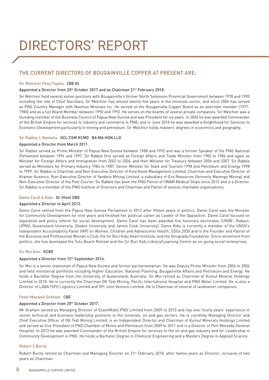# DIRECTORS' REPORT

## THE CURRENT DIRECTORS OF BOUGAINVILLE COPPER AT PRESENT ARE:

#### Sir Melchior Pesa Togolo CBE Kt

#### Appointed a Director from 20<sup>th</sup> October 2017 and as Chairman 21<sup>st</sup> February 2018.

Sir Melchior held several senior positions with Bougainville's former North Solomons Provincial Government between 1978 and 1990 including the role of Chief Secretary. Sir Melchior has almost twenty-five years in the minerals sector, and since 2006 has served as PNG Country Manager with Nautilus Minerals Inc. He served on the Bougainville Copper Board as an alternate member (1977- 1980) and as a full Board Member between 1990 and 1993. He serves on the boards of several private companies. Sir Melchior was a founding member of the Business Council of Papua New Guinea and was President for six years. In 2004 he was awarded Commander of the British Empire for services to industry and commerce in PNG, and in June 2018 he was awarded a Knighthood for Services to Economic Development particularly in mining and petroleum. Sir Melchior holds masters' degrees in economics and geography.

#### Sir Rabbie L Namaliu GCL CSM KCMG BA MA HON.LLD

#### Appointed a Director from March 2011.

Sir Rabbie served as Prime Minister of Papua New Guinea between 1988 and 1992 and was a former Speaker of the PNG National Parliament between 1994 and 1997. Sir Rabbie first served as Foreign Affairs and Trade Minister from 1982 to 1984 and again as Minister for Foreign Affairs and Immigration from 2002 to 2006, and then Minister for Treasury between 2006 and 2007. Sir Rabbie served as Ministers for Primary Industry 1984 to 1987, Senior Minister for State and Tourism 1998 and Petroleum and Energy 1998 to 1999. Sir Rabbie is Chairman and Non-Executive Director of Kina Asset Management Limited, Chairman and Executive Director of Kramer Ausenco, Non-Executive Director of Yandera Mining Limited, a subsidiary of Era Resources (formerly Marengo Mining) and Non-Executive Director of the Post Courier. Sir Rabbie has been the PNG Patron of YWAM Medical Ships since 2012 and is a Director. Sir Rabbie is a member of the PNG Institute of Directors and Chairman and Patron of several charitable organisations.

#### Dame Carol A Kidu Dr (Hon) DBE

#### Appointed a Director in April 2013.

Dame Carol retired from the Papua New Guinea Parliament in 2012 after fifteen years in politics. Dame Carol was the Minister for Community Development for nine years and finished her political career as Leader of the Opposition. Dame Carol focused on legislative and policy reform for social development. Dame Carol has been awarded five honorary doctorates (UNRE- Rabaul, UPNG, Queensland University, Deakin University and James Cook University). Dame Kidu is currently a member of the UNSG's Independent Accountability Panel (IAP) on Women, Children and Adolescents Health, SDGs.2030 and is the Founder and Patron of the Business and Professional Women's Club, the Sir Buri Kidu Heart Institute, and the Ginigoada Foundation. Since retirement from politics, she has developed the Tutu Beach Retreat and the Sir Buri Kidu Library/Learning Centre as on-going social enterprises.

#### Sir Moi Avei KCBE

#### Appointed a Director from 12<sup>th</sup> September 2016.

Sir Moi is a senior statesman of Papua New Guinea and former parliamentarian. He was Deputy Prime Minister from 2004 to 2006 and held ministerial portfolios including Higher Education, National Planning, Bougainville Affairs and Petroleum and Energy. He holds a Bachelor Degree from the University of Queensland, Australia. Sir Moi retired as Chairman of Kumul Mineral Holdings Limited in 2018. He is currently the Chairman OK Tedi Mining, Pacific International Hospital and PNG Water Limited. He is also a Director of LABA (SPI) Logistics Limited and SPI Joint Venture Limited. He is Chairman of several of landowner companies.

#### Peter Maxwell Graham CBE

#### Appointed a Director from 20<sup>th</sup> October 2017.

Mr Graham served as Managing Director of ExxonMobil PNG Limited from 2009 to 2015 and has over fourty years' experience in senior technical and business leadership positions in the minerals, oil and gas sectors. He is currently Managing Director and Chief Executive Officer of OK Tedi Mining Limited, is an Independent Director and Chairman of Kumul Minerals Holdings Limited and served as Vice President of PNG Chamber of Mines and Petroleum from 2009 to 2011 and is a Director of Port Moresby General Hospital. In 2013 he was awarded Commander of the British Empire for services to the oil and gas industry and for Leadership in Community Development in PNG. He holds a Bachelor Degree in Chemical Engineering and a Masters Degree in Applied Science.

#### Robert S Burns

Robert Burns retired as Chairman and Managing Director on 21st February 2018, after twelve years as Director, inclusive of two years as Chairman.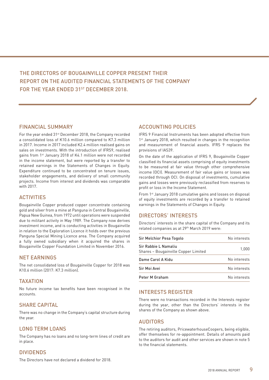## THE DIRECTORS OF BOUGAINVILLE COPPER PRESENT THEIR REPORT ON THE AUDITED FINANCIAL STATEMENTS OF THE COMPANY FOR THE YEAR ENDED 31ST DECEMBER 2018.

## FINANCIAL SUMMARY

For the year ended 31st December 2018, the Company recorded a consolidated loss of K10.6 million compared to K7.3 million in 2017. Income in 2017 included K2.4 million realised gains on sales on investments. With the introduction of IFRS9, realised gains from 1<sup>st</sup> January 2018 of K4.1 million were not recorded in the income statement, but were reported by a transfer to retained earnings in the Statements of Changes in Equity. Expenditure continued to be concentrated on tenure issues, stakeholder engagements, and delivery of small community projects. Income from interest and dividends was comparable with 2017.

## **ACTIVITIES**

Bougainville Copper produced copper concentrate containing gold and silver from a mine at Panguna in Central Bougainville, Papua New Guinea, from 1972 until operations were suspended due to militant activity in May 1989. The Company now derives investment income, and is conducting activities in Bougainville in relation to the Exploration Licence it holds over the previous Panguna Special Mining Licence area. The Company acquired a fully owned subsidiary when it acquired the shares in Bougainville Copper Foundation Limited in November 2016.

## NET EARNINGS

The net consolidated loss of Bougainville Copper for 2018 was K10.6 million (2017: K7.3 million).

## TAXATION

No future income tax benefits have been recognised in the accounts.

## SHARE CAPITAL

There was no change in the Company's capital structure during the year.

## LONG TERM LOANS

The Company has no loans and no long-term lines of credit are in place.

## DIVIDENDS

The Directors have not declared a dividend for 2018.

## ACCOUNTING POLICIES

IFRS 9 Financial Instruments has been adopted effective from 1<sup>st</sup> January 2018, which resulted in changes in the recognition and measurement of financial assets. IFRS 9 replaces the provisions of IAS39.

On the date of the application of IFRS 9, Bougainville Copper classified its financial assets comprising of equity investments to be measured at fair value through other comprehensive income (OCI). Measurement of fair value gains or losses was recorded through OCI. On disposal of investments, cumulative gains and losses were previously reclassified from reserves to profit or loss in the Income Statement.

From 1<sup>st</sup> January 2018 cumulative gains and losses on disposal of equity investments are recorded by a transfer to retained earnings in the Statements of Changes in Equity.

## DIRECTORS' INTERESTS

Directors' interests in the share capital of the Company and its related companies as at 29th March 2019 were:

| Sir Melchior Pesa Togolo                                     | No interests |
|--------------------------------------------------------------|--------------|
| Sir Rabbie L Namaliu<br>Shares - Bougainville Copper Limited | 1.000        |
| Dame Carol A Kidu                                            | No interests |
| Sir Moi Avei                                                 | No interests |
| Peter M Graham                                               | No interests |

## INTERESTS REGISTER

There were no transactions recorded in the Interests register during the year, other than the Directors' interests in the shares of the Company as shown above.

## AUDITORS

The retiring auditors, PricewaterhouseCoopers, being eligible, offer themselves for re-appointment. Details of amounts paid to the auditors for audit and other services are shown in note 5 to the financial statements.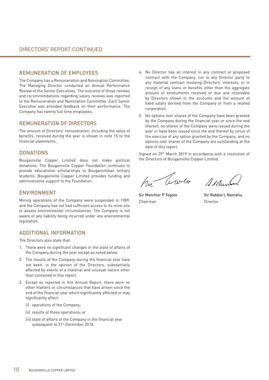### REMUNERATION OF EMPLOYEES

The Company has a Remuneration and Nomination Committee. The Managing Director conducted an Annual Performance Review of the Senior Executives. The outcome of those reviews and recommendations regarding salary reviews was reported to the Remuneration and Nomination Committee. Each Senior Executive was provided feedback on their performance. The Company has twenty full time employees.

## REMUNERATION OF DIRECTORS

The amount of Directors' remuneration, including the value of benefits, received during the year is shown in note 15 to the financial statements.

## **DONATIONS**

Bougainville Copper Limited does not make political donations. The Bougainville Copper Foundation continues to provide educational scholarships to Bougainvillean tertiary students. Bougainville Copper Limited provides funding and administrative support to the Foundation.

#### ENVIRONMENT

Mining operations of the Company were suspended in 1989, and the Company has not had sufficient access to its mine site to assess environmental circumstances. The Company is not aware of any liability being incurred under any environmental legislation.

## ADDITIONAL INFORMATION

The Directors also state that:

- 1. There were no significant changes in the state of affairs of the Company during the year except as noted below.
- 2. The results of the Company during the financial year have not been, in the opinion of the Directors, substantially affected by events of a material and unusual nature other than contained in this report.
- 3. Except as reported in this Annual Report, there were no other matters or circumstances that have arisen since the end of the financial year which significantly affected or may significantly affect:
	- (i) operations of the Company;
	- (ii) results of those operations; or
	- (iii) state of affairs of the Company in the financial year subsequent to 31<sup>st</sup> December 2018.
- 4. No Director has an interest in any contract or proposed contract with the Company, nor is any Director party to any material contract involving Directors' interests, or in receipt of any loans or benefits other than the aggregate amount of emoluments received or due and receivable by Directors shown in the accounts and the amount of fixed salary derived from the Company or from a related corporation.
- 5. No options over shares of the Company have been granted by the Company during the financial year or since the end thereof; no shares of the Company were issued during the year or have been issued since the end thereof by virtue of the exercise of any option granted by the Company; and no options over shares of the Company are outstanding at the date of this report.

Signed on 29th March 2019 in accordance with a resolution of the Directors of Bougainville Copper Limited.

hy levelo sellente

Sir Melchior P Togolo Sir Rabbie L Namaliu Chairman **Director**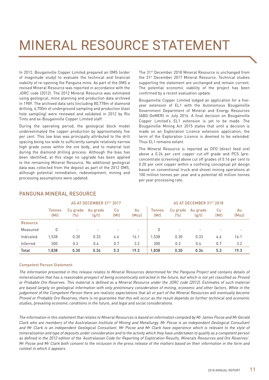## MINERAL RESOURCE STATEMENT

In 2012, Bougainville Copper Limited prepared an OMS (order of magnitude study) to evaluate the technical and financial viability of re-opening the Panguna mine. As part of the OMS a revised Mineral Resource was reported in accordance with the JORC code (2012). The 2012 Mineral Resource was estimated using geological, mine planning and production data archived in 1989. The archived data sets (including 80,778m of diamond drilling, 4,700m of underground sampling and production blast hole sampling) were reviewed and validated in 2012 by Rio Tinto and ex-Bougainville Copper Limited staff.

During the operating period, the geological block model underestimated the copper production by approximately five per cent. This low bias was principally attributed to the drill spacing being too wide to sufficiently sample relatively narrow high grade zones within the ore body, and to material lost during the diamond drilling process. Although the bias has been identified, at this stage no upgrade has been applied to the remaining Mineral Resource. No additional geological data was collected from the deposit as part of the 2012 OMS, although potential remediation, redevelopment, mining and processing assumptions were updated.

The 31st December 2018 Mineral Resource is unchanged from the 31st December 2017 Mineral Resource. Technical studies supporting the statement are unchanged and remain current. The potential economic viability of the project has been confirmed by a recent evaluation update.

Bougainville Copper Limited lodged an application for a fiveyear extension of EL1 with the Autonomous Bougainville Government Department of Mineral and Energy Resources (ABG-DoMER) in July 2016. A final decision on Bougainville Copper Limited's EL1 extension is yet to be made. The Bougainville Mining Act 2015 states that until a decision is made on an Exploration Licence extension application, the term of the Exploration Licence is deemed to be extended. Thus EL1 remains extant.

The Mineral Resource is reported as DFO (direct feed ore) above a 0.24 per cent copper cut-off grade and PCS (preconcentrate screening) above cut off grades of 0.16 per cent to 0.20 per cent copper within a confining conceptual pit design based on conventional truck and shovel mining operations at 100 million tonnes per year and a potential 60 million tonnes per year processing rate.

|                 | AS AT DECEMBER 31ST 2017 |                          |                          |            |                          | AS AT DECEMBER 31ST 2018 |                          |                          |                          |             |
|-----------------|--------------------------|--------------------------|--------------------------|------------|--------------------------|--------------------------|--------------------------|--------------------------|--------------------------|-------------|
|                 | Tonnes<br>(Mt)           | Cu grade<br>(%)          | Au grade<br>(g/t)        | Cu<br>(Mt) | Au<br>(Moz)              | <b>Tonnes</b><br>(Mt)    | Cu grade<br>(%)          | Au grade<br>(g/t)        | Cu<br>(Mt)               | Au<br>(Moz) |
| <b>Resource</b> |                          |                          |                          |            |                          |                          |                          |                          |                          |             |
| Measured        |                          | $\overline{\phantom{0}}$ | $\overline{\phantom{0}}$ |            | $\overline{\phantom{a}}$ | 0                        | $\overline{\phantom{a}}$ | $\overline{\phantom{0}}$ | $\overline{\phantom{0}}$ |             |
| Indicated       | 1,538                    | 0.30                     | 0.33                     | 4.6        | 16.1                     | 1.538                    | 0.30                     | 0.33                     | 4.6                      | 16.1        |
| Inferred        | 300                      | 0.3                      | 0.4                      | 0.7        | 3.2                      | 300                      | 0.3                      | 0.4                      | 0.7                      | 3.2         |
| Total           | 1.838                    | 0.30                     | 0.34                     | 5.3        | 19.3                     | 1.838                    | 0.30                     | 0.34                     | 5.3                      | 19.3        |

## PANGUNA MINERAL RESOURCE

#### Competent Person Statement

*The information presented in this release relates to Mineral Resources determined for the Panguna Project and contains details of mineralisation that has a reasonable prospect of being economically extracted in the future, but which is not yet classified as Proved or Probable Ore Reserves. This material is defined as a Mineral Resource under the JORC code (2012). Estimates of such material*  are based largely on geological information with only preliminary consideration of mining, economic and other factors. While in the *judgement of the Competent Person there are realistic expectations that all or part of the Mineral Resources will eventually become Proved or Probable Ore Reserves, there is no guarantee that this will occur as the result depends on further technical and economic studies, prevailing economic conditions in the future, and legal and social considerations.* 

*The information in this statement that relates to Mineral Resources is based on information compiled by Mr James Pocoe and Mr Gerald Clark who are members of the Australasian Institute of Mining and Metallurgy. Mr Pocoe is an independent Geological Consultant and Mr Clark is an independent Geological Consultant. Mr Pocoe and Mr Clark have experience which is relevant to the style of mineralisation and type of deposits under consideration and to the activity which they have undertaken to qualify as a competent person as defined in the 2012 edition of the 'Australasian Code for Reporting of Exploration Results, Minerals Resources and Ore Reserves'. Mr Pocoe and Mr Clark both consent to the inclusion in the press release of the matters based on their information in the form and context in which it appears.*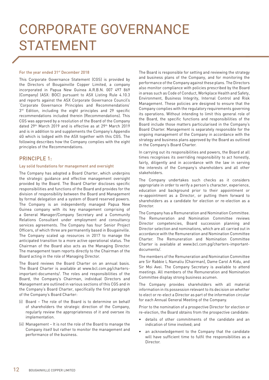## CORPORATE GOVERNANCE STATEMENT

#### For the year ended 31<sup>st</sup> December 2018

This Corporate Governance Statement (CGS) is provided by the Directors of Bougainville Copper Limited, a company incorporated in Papua New Guinea A.R.B.N. 007 497 869 (Company) (ASX: BOC) pursuant to ASX Listing Rule 4.10.3 and reports against the ASX Corporate Governance Council's 'Corporate Governance Principles and Recommendations'  $3<sup>rd</sup>$  Edition, including the eight principles and 29 specific recommendations included therein (Recommendations). This CGS was approved by a resolution of the Board of the Company dated 29th March 2019 and is effective as at 29th March 2019 and is in addition to and supplements the Company's Appendix 4G which is lodged with the ASX together with this CGS. The following describes how the Company complies with the eight principles of the Recommendations.

### PRINCIPLE 1:

#### Lay solid foundations for management and oversight

The Company has adopted a Board Charter, which underpins the strategic guidance and effective management oversight provided by the Board. The Board Charter discloses specific responsibilities and functions of the Board and provides for the division of responsibility between the Board and Management by formal delegation and a system of Board reserved powers. The Company is an independently managed Papua New Guinea company with its key management comprising of a General Manager/Company Secretary and a Community Relations Consultant under employment and consultancy services agreements. The Company has four Senior Project Officers, of which three are permanently based in Bougainville. The Company scaled up resources in 2017 to manage the anticipated transition to a more active operational status. The Chairman of the Board also acts as the Managing Director. The management team reports directly to the Chairman of the Board acting in the role of Managing Director.

The Board reviews the Board Charter on an annual basis. The Board Charter is available at www.bcl.com.pg/chartersimportant-documents/. The roles and responsibilities of the Board, the Company's Chairman, individual Directors and Management are outlined in various sections of this CGS and in the Company's Board Charter, specifically the first paragraph of the Company's Board Charter:

- (i) Board The role of the Board is to determine on behalf of shareholders the strategic direction of the Company, regularly review the appropriateness of it and oversee its implementation.
- (ii) Management It is not the role of the Board to manage the Company itself but rather to monitor the management and performance of the business.

The Board is responsible for setting and reviewing the strategy and business plans of the Company, and for monitoring the performance of the Company against these plans. The Directors also monitor compliance with policies prescribed by the Board in areas such as Code of Conduct, Workplace Health and Safety, Environment, Business Integrity, Internal Control and Risk Management. These policies are designed to ensure that the Company complies with the regulatory requirements governing its operations. Without intending to limit this general role of the Board, the specific functions and responsibilities of the Board include those matters particularised in the Company's Board Charter. Management is separately responsible for the ongoing management of the Company in accordance with the strategy and business plans approved by the Board as outlined in the Company's Board Charter.

In carrying out its responsibilities and powers, the Board at all times recognises its overriding responsibility to act honestly, fairly, diligently and in accordance with the law in serving the interests of the Company's shareholders and all other stakeholders.

The Company undertakes such checks as it considers appropriate in order to verify a person's character, experience, education and background prior to their appointment or re-appointment as a Director, or putting them forward to shareholders as a candidate for election or re-election as a Director.

The Company has a Remuneration and Nomination Committee. The Remuneration and Nomination Committee reviews Director competencies, Board succession planning and Director selection and nominations, which are all carried out in accordance with the Remuneration and Nomination Committee Charter. The Remuneration and Nomination Committee Charter is available at www.bcl.com.pg/charters-importantdocuments/.

The members of the Remuneration and Nomination Committee are Sir Rabbie L Namaliu (Chairman), Dame Carol A Kidu, and Sir Moi Avei. The Company Secretary is available to attend meetings. All members of the Remuneration and Nomination Committee display strong business acumen.

The Company provides shareholders with all material information in its possession relevant to its decision on whether to elect or re-elect a Director as part of the information circular for each Annual General Meeting of the Company.

Prior to the nomination of a prospective Director for election or re-election, the Board obtains from the prospective candidate:

- details of other commitments of the candidate and an indication of time involved; and
- an acknowledgement to the Company that the candidate will have sufficient time to fulfil the responsibilities as a Director.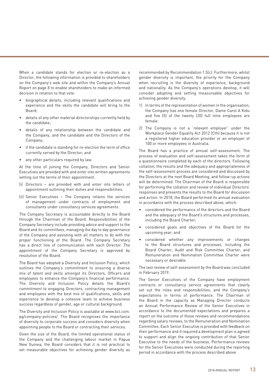When a candidate stands for election or re-election as a Director, the following information is provided to shareholders on the Company's web site and within the Company's Annual Report on page 8 to enable shareholders to make an informed decision in relation to that vote:

- biographical details, including relevant qualifications and experience and the skills the candidate will bring to the Board;
- details of any other material directorships currently held by the candidate;
- details of any relationship between the candidate and the Company, and the candidate and the Directors of the Company;
- if the candidate is standing for re-election the term of office currently served by the Director; and
- any other particulars required by law.

At the time of joining the Company, Directors and Senior Executives are provided with and enter into written agreements setting out the terms of their appointment.

- (i) Directors are provided with and enter into letters of appointment outlining their duties and responsibilities.
- (ii) Senior Executives The Company retains the services of management under contracts of employment and consultants under consultancy services agreements.

The Company Secretary is accountable directly to the Board through the Chairman of the Board. Responsibilities of the Company Secretary include providing advice and support to the Board and its committees, managing the day to day governance of the Company and assisting with all matters to do with the proper functioning of the Board. The Company Secretary has a direct line of communication with each Director. The appointment of the Company Secretary is approved by resolution of the Board.

The Board has adopted a Diversity and Inclusion Policy, which outlines the Company's commitment to ensuring a diverse mix of talent and skills amongst its Directors, Officers and employees to enhance the Company's financial performance. The Diversity and Inclusion Policy details the Board's commitment to engaging Directors, contracting management and employees with the best mix of qualifications, skills and experience to develop a cohesive team to achieve business success regardless of gender, age or cultural background.

The Diversity and Inclusion Policy is available at www.bcl.com. pg/company-policies/. The Board recognises the importance of diversity to corporate success and considers diversity when appointing people to the Board or contracting their services.

Given the size of the Board, the limited operational status of the Company and the challenging labour market in Papua New Guinea, the Board considers that it is not practical to set measurable objectives for achieving gender diversity as

recommended by Recommendation 1.5(c). Furthermore, whilst gender diversity is important, the priority for the Company when recruiting is the diversity of experience, background and nationality. As the Company's operations develop, it will consider adopting and setting measureable objectives for achieving gender diversity.

- 1) In terms of the representation of women in the organisation, the Company has one female Director, Dame Carol A Kidu and five (5) of the twenty (20) full time employees are female.
- 2) The Company is not a 'relevant employer' under the Workplace Gender Equality Act 2012 (Cth) because it is not a registered higher education provider or an employer of 100 or more employees in Australia.

The Board has a practice of annual self-assessment. The process of evaluation and self-assessment takes the form of a questionnaire completed by each of the directors. Following collation, the results and the adequacy and appropriateness of the self-assessment process are considered and discussed by the Directors at the next Board Meeting, and follow-up actions will be determined. The Chairman of the Board is responsible for performing the collation and review of individual Directors' responses and presents the results to the Board for discussion and action. In 2018, the Board performed its annual evaluation in accordance with the process described above, which:

- considered the performance of the directors and the Board and the adequacy of the Board's structures and processes, including the Board Charter;
- considered goals and objectives of the Board for the upcoming year; and
- considered whether any improvements or changes to the Board structures and processes, including the Board Charter, Audit and Risk Committee Charter, and Remuneration and Nomination Committee Charter were necessary or desirable.

The last review of self-assessment by the Board was concluded in February 2019.

The Senior Executives of the Company have employment contracts or consultancy service agreements that clearly set out the roles and responsibilities, and the Company's expectations in terms of performance. The Chairman of the Board in the capacity as Managing Director conducts an Annual Performance Review of the Senior Executives in accordance to the documented expectations and prepares a report on the outcome of those reviews and recommendations regarding salary reviews, to the Remuneration and Nomination Committee. Each Senior Executive is provided with feedback on their performance and if required a development plan is agreed to support and align the ongoing contribution of that Senior Executive to the needs of the business. Performance reviews for the Senior Executives were conducted during the reporting period in accordance with the process described above.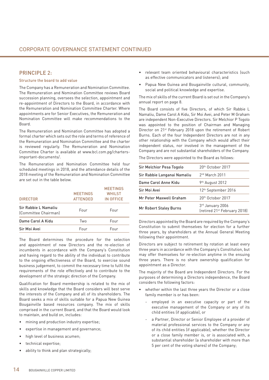## PRINCIPLE 2.

#### Structure the board to add value

The Company has a Remuneration and Nomination Committee. The Remuneration and Nomination Committee reviews Board succession planning, oversees the selection, appointment and re-appointment of Directors to the Board, in accordance with the Remuneration and Nomination Committee Charter. Where appointments are for Senior Executives, the Remuneration and Nomination Committee will make recommendations to the Board.

The Remuneration and Nomination Committee has adopted a formal charter which sets out the role and terms of reference of the Remuneration and Nomination Committee and the charter is reviewed regularly. The Remuneration and Nomination Committee Charter is available at www.bcl.com.pg/chartersimportant-documents/.

The Remuneration and Nomination Committee held four scheduled meetings in 2018, and the attendance details of the 2018 meeting of the Remuneration and Nomination Committee are set out in the table below.

| <b>DIRECTOR</b>                              | <b>MEETINGS</b><br><b>ATTENDED</b> | <b>MEETINGS</b><br><b>WHILST</b><br>IN OFFICE |
|----------------------------------------------|------------------------------------|-----------------------------------------------|
| Sir Rabbie L Namaliu<br>(Committee Chairman) | Four                               | Four                                          |
| Dame Carol A Kidu                            | Two                                | Four                                          |
| Sir Moi Avei                                 | Four                               | Four                                          |

The Board determines the procedure for the selection and appointment of new Directors and the re-election of incumbents in accordance with the Company's Constitution and having regard to the ability of the individual to contribute to the ongoing effectiveness of the Board, to exercise sound business judgement, to commit the necessary time to fulfil the requirements of the role effectively and to contribute to the development of the strategic direction of the Company.

Qualification for Board membership is related to the mix of skills and knowledge that the Board considers will best serve the interests of the Company and all of its shareholders. The Board seeks a mix of skills suitable for a Papua New Guinea Bougainville based resources company. The mix of skills comprised in the current Board, and that the Board would look to maintain, and build on, includes:

- mining and production industry expertise;
- expertise in management and governance;
- • high level of business acumen;
- technical expertise;
- ability to think and plan strategically;
- relevant team oriented behavioural characteristics (such as effective communicators and listeners); and
- Papua New Guinea and Bougainville cultural, community, social and political knowledge and expertise.

The mix of skills of the current Board is set out in the Company's annual report on page 8.

The Board consists of five Directors, of which Sir Rabbie L Namaliu, Dame Carol A Kidu, Sir Moi Avei, and Peter M Graham are independent Non-Executive Directors. Sir Melchior P Togolo was appointed to the position of Chairman and Managing Director on 21st February 2018 upon the retirement of Robert Burns. Each of the four Independent Directors are not in any other relationship with the Company which would affect their independent status, nor involved in the management of the Company and are not substantial shareholders of the Company.

The Directors were appointed to the Board as follows:

| Sir Melchior Pesa Togolo    | 20 <sup>th</sup> October 2017                                |
|-----------------------------|--------------------------------------------------------------|
| Sir Rabbie Langanai Namaliu | $2nd$ March 2011                                             |
| Dame Carol Anne Kidu        | 9 <sup>th</sup> August 2012                                  |
| Sir Moi Avei                | 12 <sup>th</sup> September 2016                              |
| Mr Peter Maxwell Graham     | 20 <sup>th</sup> October 2017                                |
| Mr Robert Staley Burns      | 3rd January 2006<br>(retired 21 <sup>st</sup> February 2018) |

Directors appointed by the Board are required by the Company's Constitution to submit themselves for election for a further three years, by shareholders at the Annual General Meeting following their appointment.

Directors are subject to retirement by rotation at least every three years in accordance with the Company's Constitution, but may offer themselves for re-election anytime in the ensuing three years. There is no share ownership qualification for appointment as a Director.

The majority of the Board are Independent Directors. For the purposes of determining a Directors independence, the Board considers the following factors:

- whether within the last three years the Director or a close family member is or has been:
	- employed in an executive capacity or part of the executive management of the Company or any of its child entities (if applicable), or
	- a Partner, Director or Senior Employee of a provider of material professional services to the Company or any of its child entities (if applicable); whether the Director or a close family member is, or is associated with, a substantial shareholder (a shareholder with more than 5 per cent of the voting shares) of the Company;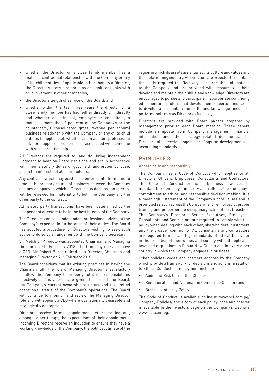- whether the Director or a close family member has a material contractual relationship with the Company or any of its child entities (if applicable) other than as a Director, the Director's cross directorships or significant links with or involvement in other companies;
- the Director's length of service on the Board: and
- • whether within the last three years the director or a close family member has had, either directly or indirectly and whether as principal, employee or consultant, a material (more than 2 per cent of the Company's or the counterparty's consolidated gross revenue per annum) business relationship with the Company or any of its child entities (if applicable), whether as an auditor, professional adviser, supplier or customer, or associated with someone with such a relationship.

All Directors are required to, and do, bring independent judgment to bear on Board decisions and act in accordance with their statutory duties of good faith and proper purpose, and in the interests of all shareholders.

Any contracts which may exist or be entered into from time to time in the ordinary course of business between the Company and any company in which a Director has declared an interest will be reviewed for materiality to both the Company and the other party to the contract.

All related party transactions, have been determined by the independent directors to be in the best interest of the Company.

The Directors can seek independent professional advice, at the Company's expense, in furtherance of their duties. The Board has adopted a procedure for Directors wishing to seek such advice to do so by arrangement with the Company Secretary.

Sir Melchior P Togolo was appointed Chairman and Managing Director on 21st February 2018. The Company does not have a CEO. Mr Robert Burns retired as a Director, Chairman and Managing Director on 21st February 2018.

The Board considers that its existing practices in having the Chairman fulfil the role of Managing Director is satisfactory to allow the Company to properly fulfil its responsibilities effectively and is appropriate given the size of the Board, the Company's current ownership structure and the limited operational status of the Company's operations. The Board will continue to monitor and review the Managing Director role and will appoint a CEO where operationally desirable and strategically appropriate.

Directors receive formal appointment letters setting out, amongst other things, the expectations of their appointment. Incoming Directors receive an induction to ensure they have a working knowledge of the Company, the political climate of the

region in which its assets are situated, its culture and values and the metal mining industry.AllDirectors are expected to maintain the skills required to effectively discharge their obligations to the Company and are provided with resources to help develop and maintain their skills and knowledge. Directors are encouraged to pursue and participate in appropriate continuing education and professional development opportunities so as to develop and maintain the skills and knowledge needed to perform their role as Directors effectively.

Directors are provided with Board papers prepared by management prior to each Board meeting. These papers include an update from Company management, financial information and other strategy related documents. The Directors also receive ongoing briefings on developments in accounting standards.

### PRINCIPLE 3:

#### Act ethically and responsibly

The Company has a Code of Conduct which applies to all Directors, Officers, Employees, Consultants and Contactors. The Code of Conduct promotes business practices to maintain the Company's integrity and reflects the Company's commitment to ethical and responsible decision-making. It is a meaningful statement of the Company's core values and is promoted as such across the Company, and reinforced by proper training and proportionate disciplinary action if it is breached. The Company's Directors, Senior Executives, Employees, Consultants and Contractors are required to comply with this policy when dealing with each other, shareholders, customers and the broader community. All consultants and contractors are required to maintain high standards of ethical behaviour in the execution of their duties and comply with all applicable laws and regulations in Papua New Guinea and in every other country in which the Company engages in business.

Other policies, codes and charters adopted by the Company which provide a framework for decisions and actions in relation to Ethical Conduct in employment include:

- Audit and Risk Committee Charter;
- Remuneration and Nomination Committee Charter; and
- **Business Integrity Policy.**

The Code of Conduct is available online at www.bcl.com.pg/ Company-Policies/ and a copy of each policy, code and charter is available in the investors page on the Company's web site www.bcl.com.pg.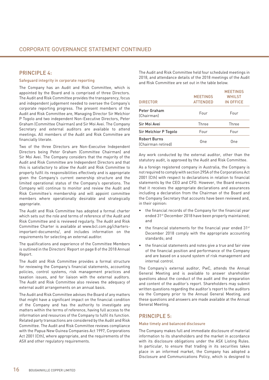## PRINCIPLE 4.

#### Safeguard integrity in corporate reporting

The Company has an Audit and Risk Committee, which is appointed by the Board and is comprised of three Directors. The Audit and Risk Committee provides the transparency, focus and independent judgement needed to oversee the Company's corporate reporting progress. The present members of the Audit and Risk Committee are, Managing Director Sir Melchior P Togolo and two independent Non-Executive Directors, Peter Graham (Committee Chairman) and Sir Moi Avei. The Company Secretary and external auditors are available to attend meetings. All members of the Audit and Risk Committee are financially literate.

Two of the three Directors are Non-Executive Independent Directors being Peter Graham (Committee Chairman) and Sir Moi Avei. The Company considers that the majority of the Audit and Risk Committee are Independent Directors and that this is satisfactory to allow the Audit and Risk Committee to properly fulfil its responsibilities effectively and is appropriate given the Company's current ownership structure and the limited operational status of the Company's operations. The Company will continue to monitor and review the Audit and Risk Committee's membership and will appoint committee members where operationally desirable and strategically appropriate.

The Audit and Risk Committee has adopted a formal charter which sets out the role and terms of reference of the Audit and Risk Committee and is reviewed regularly. The Audit and Risk Committee Charter is available at www.bcl.com.pg/chartersimportant-documents/, and includes information on the requirements for selecting an external auditor.

The qualifications and experience of the Committee Members is outlined in the Directors' Report on page 8 of the 2018 Annual Report.

The Audit and Risk Committee provides a formal structure for reviewing the Company's financial statements, accounting policies, control systems, risk management practices and taxation issues, and for liaison with the external auditors. The Audit and Risk Committee also reviews the adequacy of external audit arrangements on an annual basis.

The Audit and Risk Committee advises the Board of any matters that might have a significant impact on the financial condition of the Company and has the authority to investigate any matters within the terms of reference, having full access to the information and resources of the Company to fulfil its function. Related party transactions are considered by the Audit and Risk Committee. The Audit and Risk Committee reviews compliance with the Papua New Guinea Companies Act 1997, Corporations Act 2001 (Cth), where appropriate, and the requirements of the ASX and other regulatory requirements.

The Audit and Risk Committee held four scheduled meetings in 2018, and attendance details of the 2018 meetings of the Audit and Risk Committee are set out in the table below.

| <b>DIRECTOR</b>                           | <b>MEETINGS</b><br><b>ATTENDED</b> | <b>MEETINGS</b><br>WHILST<br>IN OFFICE |
|-------------------------------------------|------------------------------------|----------------------------------------|
| Peter Graham<br>(Chairman)                | Four                               | Four                                   |
| Sir Moi Avei                              | Three                              | Three                                  |
| Sir Melchior P Togolo                     | Four                               | Four                                   |
| <b>Robert Burns</b><br>(Chairman retired) | One                                | One                                    |

Any work conducted by the external auditor, other than the statutory audit, is approved by the Audit and Risk Committee.

As a foreign registered company in Australia, the Company is not required to comply with section 295A of the Corporations Act 2001 (Cth) with respect to declarations in relation to financial statements by the CEO and CFO. However, the Board ensures that it receives the appropriate declarations and assurances including a declaration from the Chairman of the Board and the Company Secretary that accounts have been reviewed and, in their opinion:

- the financial records of the Company for the financial year ended 31st December 2018 have been properly maintained; and
- the financial statements for the financial year ended  $31<sup>st</sup>$ December 2018 comply with the appropriate accounting standards; and
- the financial statements and notes give a true and fair view of the financial position and performance of the Company and are based on a sound system of risk management and internal control.

The Company's external auditor, PwC, attends the Annual General Meeting and is available to answer shareholder questions about the conduct of the audit and the preparation and content of the auditor's report. Shareholders may submit written questions regarding the auditor's report to the auditors via the Company prior to the Annual General Meeting, and these questions and answers are made available at the Annual General Meeting.

## PRINCIPLE 5:

#### Make timely and balanced disclosure

The Company makes full and immediate disclosure of material information to its shareholders and the market in accordance with its disclosure obligations under the ASX Listing Rules. In particular, to ensure that trading in its securities takes place in an informed market, the Company has adopted a Disclosure and Communications Policy, which is designed to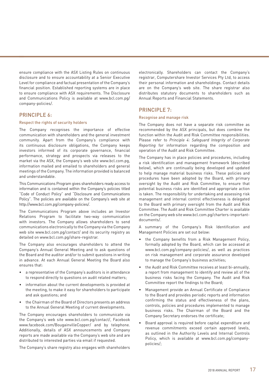ensure compliance with the ASX Listing Rules on continuous disclosure and to ensure accountability at a Senior Executive Level for compliance and factual presentation of the Company's financial position. Established reporting systems are in place to ensure compliance with ASX requirements. The Disclosure and Communications Policy is available at www.bcl.com.pg/ company-policies/.

## PRINCIPLE 6:

#### Respect the rights of security holders

The Company recognises the importance of effective communication with shareholders and the general investment community. Apart from the Company's compliance with its continuous disclosure obligations, the Company keeps investors informed of its corporate governance, financial performance, strategy and prospects via releases to the market via the ASX, the Company's web site www.bcl.com.pg, information mailed and emailed to shareholders and general meetings of the Company. The information provided is balanced and understandable.

This Communications Program gives shareholders ready access to information and is contained within the Company's policies titled "Code of Conduct Policy" and "Disclosure and Communications Policy". The policies are available on the Company's web site at http://www.bcl.com.pg/company-policies/.

The Communications Program above includes an Investor Relations Program to facilitate two-way communication with investors. The Company allows shareholders to send communications electronically to the Company via the Company web site www.bcl.com.pg/contact/ and its security registry as detailed on www.bcl.com.pg/share-registrar.

The Company also encourages shareholders to attend the Company's Annual General Meeting and to ask questions of the Board and the auditor and/or to submit questions in writing in advance. At each Annual General Meeting the Board also ensures that:

- a representative of the Company's auditors is in attendance to respond directly to questions on audit related matters;
- information about the current developments is provided at the meeting, to make it easy for shareholders to participate and ask questions; and
- the Chairman of the Board of Directors presents an address to the Annual General Meeting of current developments.

The Company encourages shareholders to communicate via the Company's web site www.bcl.com.pg/contact/, Facebook www.facebook.com/BougainvilleCopper/ and by telephone. Additionally, details of ASX announcements and Company reports are made available via the Company's web site and are distributed to interested parties via email if requested.

The Company's share registry also engages with shareholders

electronically. Shareholders can contact the Company's registrar, Computershare Investor Services Pty Ltd, to access their personal information and shareholdings. Contact details are on the Company's web site. The share registrar also distributes statutory documents to shareholders such as Annual Reports and Financial Statements.

## PRINCIPLE 7:

#### Recognise and manage risk

The Company does not have a separate risk committee as recommended by the ASX principals, but does combine the function within the Audit and Risk Committee responsibilities. Please refer to *Principle 4: Safeguard Integrity of Corporate Reporting* for information regarding the composition and operation of the Audit and Risk Committee.

The Company has in place policies and procedures, including a risk identification and management framework (described below), which are continually being developed and updated to help manage material business risks. These policies and procedures have been adopted by the Board, with primary oversight by the Audit and Risk Committee, to ensure that potential business risks are identified and appropriate action is taken. The responsibility for undertaking and assessing risk management and internal control effectiveness is delegated to the Board with primary oversight from the Audit and Risk Committee. The Audit and Risk Committee Charter is available on the Company web site www.bcl.com.pg/charters-importantdocuments/.

A summary of the Company's Risk Identification and Management Policies are set out below:

- the Company benefits from a Risk Management Policy, formally adopted by the Board, which can be accessed at www.bcl.com.pg/company-policies/, as well as practices on risk management and corporate assurance developed to manage the Company's business activities;
- the Audit and Risk Committee receives at least bi-annually, a report from management to identify and review all of the business risks facing the Company. The Audit and Risk Committee report the findings to the Board;
- Management provide an Annual Certificate of Compliance to the Board and provides periodic reports and information confirming the status and effectiveness of the plans, controls, policies and procedures implemented to manage business risks. The Chairman of the Board and the Company Secretary endorses the certificate;
- Board approval is required before capital expenditure and revenue commitments exceed certain approved levels, as outlined in the Authority Levels and Internal Controls Policy, which is available at www.bcl.com.pg/companypolicies/;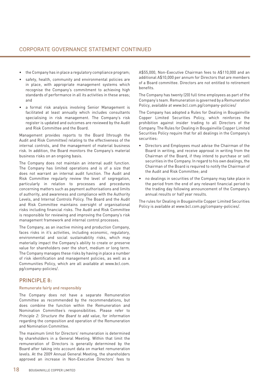- the Company has in place a regulatory compliance program;
- safety, health, community and environmental policies are in place, with appropriate management systems which recognise the Company's commitment to achieving high standards of performance in all its activities in these areas; and
- a formal risk analysis involving Senior Management is facilitated at least annually which includes consultants specialising in risk management. The Company's risk register is updated and outcomes are reviewed by the Audit and Risk Committee and the Board.

Management provides reports to the Board (through the Audit and Risk Committee) relating to the effectiveness of the internal controls, and the management of material business risk. In addition, the Board monitors the Company's material business risks on an ongoing basis.

The Company does not maintain an internal audit function. The Company has limited operations and is of a size that does not warrant an internal audit function. The Audit and Risk Committee regularly review the level of segregation, particularly in relation to processes and procedures concerning matters such as payment authorisations and limits of authority, and awareness and compliance with the Authority Levels, and Internal Controls Policy. The Board and the Audit and Risk Committee maintains oversight of organisational risks including financial risks. The Audit and Risk Committee is responsible for reviewing and improving the Company's risk management framework and internal control processes.

The Company, as an inactive mining and production Company, faces risks in it's activities, including economic, regulatory, environmental and social sustainability risks, which may materially impact the Company's ability to create or preserve value for shareholders over the short, medium or long term. The Company manages these risks by having in place a number of risk identification and management policies, as well as a Communities Policy, which are all available at www.bcl.com. pg/company-policies/.

## PRINCIPLE 8:

#### Remunerate fairly and responsibly

The Company does not have a separate Remuneration Committee as recommended by the recommendations, but does combine the function within the Remuneration and Nomination Committee's responsibilities. Please refer to *Principle 2: Structure the Board to add value*, for information regarding the composition and operation of the Remuneration and Nomination Committee.

The maximum limit for Directors' remuneration is determined by shareholders in a General Meeting. Within that limit the remuneration of Directors is generally determined by the Board after taking into account data on market remuneration levels. At the 2009 Annual General Meeting, the shareholders approved an increase in Non-Executive Directors' fees to

A\$55,000, Non-Executive Chairman fees to A\$110,000 and an additional A\$10,000 per annum for Directors that are members of a Board committee. Directors are not entitled to retirement benefits.

The Company has twenty (20) full time employees as part of the Company's team. Remuneration is governed by a Remuneration Policy, available at www.bcl.com.pg/company-policies/

The Company has adopted a Rules for Dealing in Bougainville Copper Limited Securities Policy, which reinforces the prohibition against insider trading to all Directors of the Company. The Rules for Dealing in Bougainville Copper Limited Securities Policy require that for all dealings in the Company's securities:

- • Directors and Employees must advise the Chairman of the Board in writing, and receive approval in writing from the Chairman of the Board, if they intend to purchase or sell securities in the Company. In regard to his own dealings, the Chairman of the Board is required to notify the Chairman of the Audit and Risk Committee; and
- no dealings in securities of the Company may take place in the period from the end of any relevant financial period to the trading day following announcement of the Company's annual results or half year results.

The rules for Dealing in Bougainville Copper Limited Securities Policy is available at www.bcl.com.pg/company-policies/.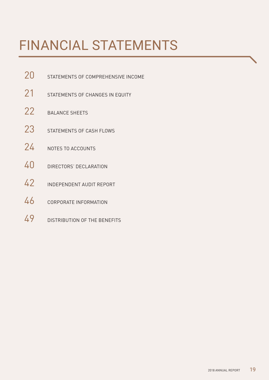# FINANCIAL STATEMENTS

- 20 STATEMENTS OF COMPREHENSIVE INCOME
- 21 STATEMENTS OF CHANGES IN EQUITY
- 22 BALANCE SHEETS
- 23 STATEMENTS OF CASH FLOWS
- 24 NOTES TO ACCOUNTS
- 40 DIRECTORS' DECLARATION
- 42 INDEPENDENT AUDIT REPORT
- 46 CORPORATE INFORMATION
- 49 DISTRIBUTION OF THE BENEFITS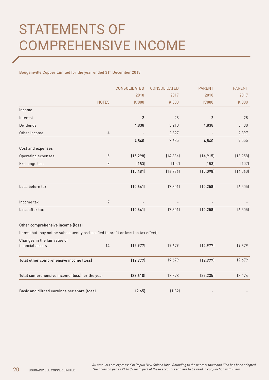Bougainville Copper Limited for the year ended 31st December 2018

|                                                                                    |              | <b>CONSOLIDATED</b> | CONSOLIDATED | <b>PARENT</b> | <b>PARENT</b> |
|------------------------------------------------------------------------------------|--------------|---------------------|--------------|---------------|---------------|
|                                                                                    |              | 2018                | 2017         | 2018          | 2017          |
|                                                                                    | <b>NOTES</b> | K'000               | K'000        | K'000         | K'000         |
| Income                                                                             |              |                     |              |               |               |
| Interest                                                                           |              | $\overline{2}$      | 28           | 2             | 28            |
| <b>Dividends</b>                                                                   |              | 4,838               | 5,210        | 4,838         | 5,130         |
| Other Income                                                                       | 4            |                     | 2,397        |               | 2,397         |
|                                                                                    |              | 4,840               | 7,635        | 4,840         | 7,555         |
| Cost and expenses                                                                  |              |                     |              |               |               |
| Operating expenses                                                                 | 5            | (15, 298)           | (14, 834)    | (14, 915)     | (13, 958)     |
| Exchange loss                                                                      | 8            | (183)               | (102)        | (183)         | (102)         |
|                                                                                    |              | (15, 481)           | (14, 936)    | (15,098)      | (14, 060)     |
| Loss before tax                                                                    |              | (10,641)            | (7, 301)     | (10, 258)     | (6, 505)      |
| Income tax                                                                         | 7            |                     |              |               |               |
| Loss after tax                                                                     |              | (10,641)            | (7, 301)     | (10, 258)     | (6, 505)      |
| Other comprehensive income (loss)                                                  |              |                     |              |               |               |
| Items that may not be subsequently reclassified to profit or loss (no tax effect): |              |                     |              |               |               |
| Changes in the fair value of<br>financial assets                                   | 14           | (12, 977)           | 19,679       | (12, 977)     | 19,679        |
| Total other comprehensive income (loss)                                            |              | (12, 977)           | 19,679       | (12, 977)     | 19,679        |
| Total comprehensive income (loss) for the year                                     |              | (23, 618)           | 12,378       | (23, 235)     | 13,174        |
| Basic and diluted earnings per share (toea)                                        |              | (2.65)              | (1.82)       |               |               |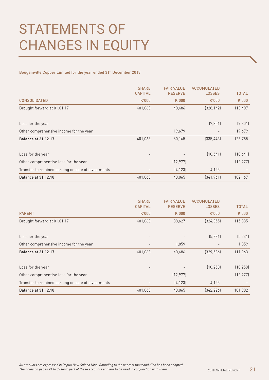## STATEMENTS OF CHANGES IN EQUITY

Bougainville Copper Limited for the year ended 31st December 2018

|                                                     | <b>SHARE</b><br><b>CAPITAL</b> | <b>FAIR VALUE</b><br><b>RESERVE</b> | <b>ACCUMULATED</b><br><b>LOSSES</b> | <b>TOTAL</b> |
|-----------------------------------------------------|--------------------------------|-------------------------------------|-------------------------------------|--------------|
| <b>CONSOLIDATED</b>                                 | K'000                          | K'000                               | K'000                               | K'000        |
| Brought forward at 01.01.17                         | 401,063                        | 40,486                              | (328, 142)                          | 113,407      |
| Loss for the year                                   |                                |                                     | (7, 301)                            | (7, 301)     |
| Other comprehensive income for the year             |                                | 19,679                              |                                     | 19,679       |
| <b>Balance at 31.12.17</b>                          | 401,063                        | 60,165                              | (335, 443)                          | 125,785      |
| Loss for the year                                   |                                |                                     | (10,641)                            | (10,641)     |
| Other comprehensive loss for the year               |                                | (12, 977)                           |                                     | (12, 977)    |
| Transfer to retained earning on sale of investments |                                | (4, 123)                            | 4,123                               |              |
| <b>Balance at 31.12.18</b>                          | 401,063                        | 43,065                              | (341,961)                           | 102,167      |

|                                                     | <b>SHARE</b><br><b>CAPITAL</b> | <b>FAIR VALUE</b><br><b>RESERVE</b> | <b>ACCUMULATED</b><br><b>LOSSES</b> | <b>TOTAL</b> |
|-----------------------------------------------------|--------------------------------|-------------------------------------|-------------------------------------|--------------|
| <b>PARENT</b>                                       | K'000                          | K'000                               | K'000                               | K'000        |
| Brought forward at 01.01.17                         | 401,063                        | 38,627                              | (324, 355)                          | 115,335      |
| Loss for the year                                   |                                |                                     | (5, 231)                            | (5, 231)     |
| Other comprehensive income for the year             |                                | 1,859                               |                                     | 1,859        |
| <b>Balance at 31.12.17</b>                          | 401,063                        | 40,486                              | (329, 586)                          | 111,963      |
| Loss for the year                                   |                                |                                     | (10, 258)                           | (10, 258)    |
| Other comprehensive loss for the year               | $\overline{\phantom{a}}$       | (12, 977)                           |                                     | (12, 977)    |
| Transfer to retained earning on sale of investments |                                | (4, 123)                            | 4,123                               |              |
| <b>Balance at 31.12.18</b>                          | 401,063                        | 43,065                              | [342, 226]                          | 101,902      |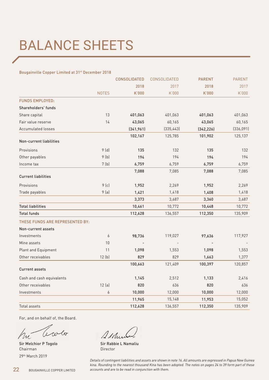## BALANCE SHEETS

#### Bougainville Copper Limited at 31<sup>st</sup> December 2018

|                                 |              | <b>CONSOLIDATED</b> | <b>CONSOLIDATED</b> | <b>PARENT</b> | <b>PARENT</b> |
|---------------------------------|--------------|---------------------|---------------------|---------------|---------------|
|                                 |              | 2018                | 2017                | 2018          | 2017          |
|                                 | <b>NOTES</b> | K'000               | K'000               | K'000         | K'000         |
| <b>FUNDS EMPLOYED:</b>          |              |                     |                     |               |               |
| Shareholders' funds             |              |                     |                     |               |               |
| Share capital                   | 13           | 401,063             | 401,063             | 401,063       | 401,063       |
| Fair value reserve              | 14           | 43,065              | 60,165              | 43,065        | 60,165        |
| <b>Accumulated losses</b>       |              | (341, 961)          | (335, 443)          | (342, 226)    | (336, 091)    |
|                                 |              | 102,167             | 125,785             | 101,902       | 125,137       |
| Non-current liabilities         |              |                     |                     |               |               |
| Provisions                      | 9(d)         | 135                 | 132                 | 135           | 132           |
| Other payables                  | 9(b)         | 194                 | 194                 | 194           | 194           |
| Income tax                      | 7(b)         | 6,759               | 6,759               | 6,759         | 6,759         |
|                                 |              | 7,088               | 7,085               | 7,088         | 7,085         |
| <b>Current liabilities</b>      |              |                     |                     |               |               |
| Provisions                      | 9(c)         | 1,952               | 2,269               | 1,952         | 2,269         |
| Trade payables                  | 9(a)         | 1,421               | 1,418               | 1,408         | 1,418         |
|                                 |              | 3,373               | 3,687               | 3,360         | 3,687         |
| <b>Total liabilities</b>        |              | 10,461              | 10,772              | 10,448        | 10,772        |
| <b>Total funds</b>              |              | 112,628             | 136,557             | 112,350       | 135,909       |
| THESE FUNDS ARE REPRESENTED BY: |              |                     |                     |               |               |
| Non-current assets              |              |                     |                     |               |               |
| Investments                     | 6            | 98,736              | 119,027             | 97,636        | 117,927       |
| Mine assets                     | 10           |                     |                     |               |               |
| Plant and Equipment             | 11           | 1,098               | 1,553               | 1,098         | 1,553         |
| Other receivables               | 12(b)        | 829                 | 829                 | 1,663         | 1,377         |
|                                 |              | 100,663             | 121,409             | 100,397       | 120,857       |
| <b>Current assets</b>           |              |                     |                     |               |               |
| Cash and cash equivalents       |              | 1,145               | 2,512               | 1,133         | 2,416         |
| Other receivables               | 12(a)        | 820                 | 636                 | 820           | 636           |
| Investments                     | 6            | 10,000              | 12,000              | 10,000        | 12,000        |
|                                 |              | 11,965              | 15,148              | 11,953        | 15,052        |
| Total assets                    |              | 112,628             | 136,557             | 112,350       | 135,909       |

For, and on behalf of, the Board.

 $\mathcal{L}_{\sigma}$ le w

Chairman **Director Director** 29th March 2019

Addu

Sir Melchior P Togolo Sir Rabbie L Namaliu

*Details of contingent liabilities and assets are shown in note 16. All amounts are expressed in Papua New Guinea kina. Rounding to the nearest thousand Kina has been adopted. The notes on pages 24 to 39 form part of these accounts and are to be read in conjunction with them.*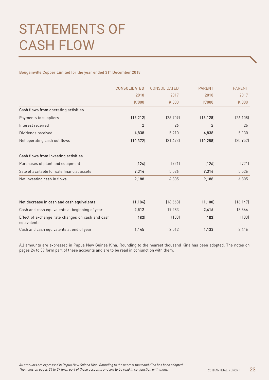## STATEMENTS OF CASH FLOW

Bougainville Copper Limited for the year ended 31st December 2018

|                                                                 | <b>CONSOLIDATED</b> | CONSOLIDATED | <b>PARENT</b>  | <b>PARENT</b> |
|-----------------------------------------------------------------|---------------------|--------------|----------------|---------------|
|                                                                 | 2018                | 2017         | 2018           | 2017          |
|                                                                 | K'000               | K'000        | K'000          | K'000         |
| Cash flows from operating activities                            |                     |              |                |               |
| Payments to suppliers                                           | (15, 212)           | (26, 709)    | (15, 128)      | (26, 108)     |
| Interest received                                               | 2                   | 26           | $\overline{2}$ | 26            |
| Dividends received                                              | 4,838               | 5,210        | 4,838          | 5,130         |
| Net operating cash out flows                                    | (10, 372)           | [21, 473]    | (10, 288)      | (20, 952)     |
| Cash flows from investing activities                            |                     |              |                |               |
| Purchases of plant and equipment                                | (126)               | (721)        | (126)          | (721)         |
| Sale of available for sale financial assets                     | 9,314               | 5,526        | 9,314          | 5,526         |
| Net investing cash in flows                                     | 9,188               | 4,805        | 9,188          | 4,805         |
| Net decrease in cash and cash equivalents                       | (1, 184)            | (16, 668)    | (1, 100)       | (16, 147)     |
|                                                                 |                     |              |                |               |
| Cash and cash equivalents at beginning of year                  | 2,512               | 19,283       | 2,416          | 18,666        |
| Effect of exchange rate changes on cash and cash<br>equivalents | (183)               | (103)        | (183)          | (103)         |
| Cash and cash equivalents at end of year                        | 1,145               | 2,512        | 1,133          | 2,416         |

All amounts are expressed in Papua New Guinea Kina. Rounding to the nearest thousand Kina has been adopted. The notes on pages 24 to 39 form part of these accounts and are to be read in conjunction with them.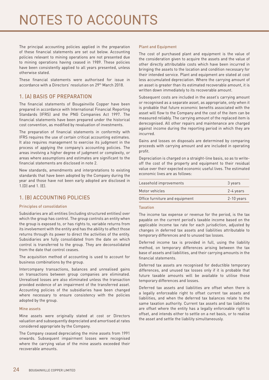## NOTES TO ACCOUNTS

The principal accounting policies applied in the preparation of these financial statements are set out below. Accounting policies relevant to mining operations are not presented due to mining operations having ceased in 1989. These policies have been consistently applied to all years presented, unless otherwise stated.

These financial statements were authorised for issue in accordance with a Directors' resolution on 29th March 2018.

## 1. (A) BASIS OF PREPARATION

The financial statements of Bougainville Copper have been prepared in accordance with International Financial Reporting Standards (IFRS) and the PNG Companies Act 1997. The financial statements have been prepared under the historical cost convention, as modified by revaluation of investments.

The preparation of financial statements in conformity with IFRS requires the use of certain critical accounting estimates. It also requires management to exercise its judgment in the process of applying the company's accounting policies. The areas involving a higher degree of judgment or complexity, or areas where assumptions and estimates are significant to the financial statements are disclosed in note 2.

New standards, amendments and interpretations to existing standards that have been adopted by the Company during the year and those have not been early adopted are disclosed in 1.(D) and 1. (E).

## 1. (B) ACCOUNTING POLICIES

#### Principles of consolidation

Subsidiaries are all entities (including structured entities) over which the group has control. The group controls an entity when the group is exposed to, or has rights to, variable returns from its involvement with the entity and has the ability to affect those returns through its power to direct the activities of the entity. Subsidiaries are fully consolidated from the date on which control is transferred to the group. They are deconsolidated from the date that control ceases.

The acquisition method of accounting is used to account for business combinations by the group.

Intercompany transactions, balances and unrealised gains on transactions between group companies are eliminated. Unrealised losses are also eliminated unless the transaction provided evidence of an impairment of the transferred asset. Accounting policies of the subsidiaries have been changed where necessary to ensure consistency with the policies adopted by the group.

#### Mine assets

Mine assets were originally stated at cost or Directors valuation and subsequently depreciated and amortised at rates considered appropriate by the Company.

The Company ceased depreciating the mine assets from 1991 onwards. Subsequent impairment losses were recognised where the carrying value of the mine assets exceeded their recoverable amounts.

#### Plant and Equipment

The cost of purchased plant and equipment is the value of the consideration given to acquire the assets and the value of other directly attributable costs which have been incurred in bringing the assets to the location and condition necessary for their intended service. Plant and equipment are stated at cost less accumulated depreciation. Where the carrying amount of an asset is greater than its estimated recoverable amount, it is written down immediately to its recoverable amount.

Subsequent costs are included in the asset's carrying amount or recognised as a separate asset, as appropriate, only when it is probable that future economic benefits associated with the asset will flow to the Company and the cost of the item can be measured reliably. The carrying amount of the replaced item is derecognised. All other repairs and maintenance are charged against income during the reporting period in which they are incurred.

Gains and losses on disposals are determined by comparing proceeds with carrying amount and are included in operating profit.

Depreciation is charged on a straight-line basis, so as to writeoff the cost of the property and equipment to their residual value over their expected economic useful lives. The estimated economic lives are as follows:

| Leasehold improvements         | 3 years      |
|--------------------------------|--------------|
| Motor vehicles                 | 2-4 years    |
| Office furniture and equipment | $2-10$ years |

#### **Taxation**

The income tax expense or revenue for the period, is the tax payable on the current period's taxable income based on the applicable income tax rate for each jurisdiction, adjusted by changes in deferred tax assets and liabilities attributable to temporary differences and to unused tax losses.

Deferred income tax is provided in full, using the liability method, on temporary differences arising between the tax base of assets and liabilities, and their carrying amounts in the financial statements.

Deferred tax assets are recognised for deductible temporary differences, and unused tax losses only if it is probable that future taxable amounts will be available to utilise those temporary differences and losses.

Deferred tax assets and liabilities are offset when there is a legally enforceable right to offset current tax assets and liabilities, and when the deferred tax balances relate to the same taxation authority. Current tax assets and tax liabilities are offset where the entity has a legally enforceable right to offset, and intends either to settle on a net basis, or to realise the asset and settle the liability simultaneously.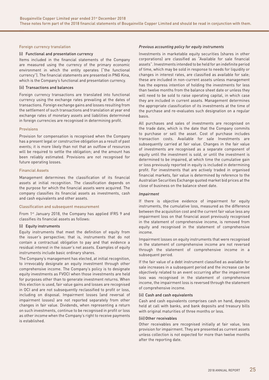#### Foreign currency translation

#### (i) Functional and presentation currency

Items included in the financial statements of the Company are measured using the currency of the primary economic environment in which the entity operates ("the functional currency"). The financial statements are presented in PNG Kina, which is the Company's functional and presentation currency.

#### (ii) Transactions and balances

Foreign currency transactions are translated into functional currency using the exchange rates prevailing at the dates of transactions. Foreign exchange gains and losses resulting from the settlement of such transactions and translation at year end exchange rates of monetary assets and liabilities determined in foreign currencies are recognised in determining profit.

#### Provisions

Provision for compensation is recognised when the Company has a present legal or constructive obligation as a result of past events; it is more likely than not that an outflow of resources will be required to settle the obligation; and the amount has been reliably estimated. Provisions are not recognised for future operating losses.

#### Financial Assets

Management determines the classification of its financial assets at initial recognition. The classification depends on the purpose for which the financial assets were acquired. The company classifies its financial assets as investments, cash and cash equivalents and other assets.

#### Classification and subsequent measurement

From 1<sup>st</sup> January 2018, the Company has applied IFRS 9 and classifies its financial assets as follows:

#### (i) Equity instruments

Equity instruments that meet the definition of equity from the issuer's perspective; that is, instruments that do not contain a contractual obligation to pay and that evidence a residual interest in the issuer's net assets. Examples of equity instruments include basic ordinary shares.

The Company's management has elected, at initial recognition, to irrevocably designate an equity investment through other comprehensive income. The Company's policy is to designate equity investments as FVOCI when those investments are held for purposes other than to generate investment returns. When this election is used, fair value gains and losses are recognised in OCI and are not subsequently reclassified to profit or loss, including on disposal. Impairment losses (and reversal of impairment losses) are not reported separately from other changes in fair value. Dividends, when representing a return on such investments, continue to be recognised in profit or loss as other income when the Company's right to receive payments is established.

#### *Previous accounting policy for equity instruments*

Investments in marketable equity securities (shares in other corporations) are classified as "Available for sale financial assets". Investments intended to be held for an indefinite period of time, which may be sold in response to needs for liquidity or changes in interest rates, are classified as available for sale; these are included in non-current assets unless management has the express intention of holding the investments for less than twelve months from the balance sheet date or unless they will need to be sold to raise operating capital, in which case they are included in current assets. Management determines the appropriate classification of its investments at the time of the purchase and re-evaluates such designation on a regular basis.

All purchases and sales of investments are recognised on the trade date, which is the date that the Company commits to purchase or sell the asset. Cost of purchase includes transaction costs. Available for sale Investments are subsequently carried at fair value. Changes in the fair value of investments are recognised as a separate component of equity until the investment is sold, or until the investment is determined to be impaired, at which time the cumulative gain or loss previously reported in equity is included in determining profit. For investments that are actively traded in organised financial markets, fair value is determined by reference to the Australian Securities Exchange quoted market bid prices at the close of business on the balance sheet date.

#### *Impairment*

If there is objective evidence of impairment for equity instruments, the cumulative loss, measured as the difference between the acquisition cost and the current fair value less any impairment loss on that financial asset previously recognised in the statement of comprehensive income, is removed from equity and recognised in the statement of comprehensive income.

Impairment losses on equity instruments that were recognised in the statement of comprehensive income are not reversed through the statement of comprehensive income in a subsequent period.

If the fair value of a debt instrument classified as available for sale increases in a subsequent period and the increase can be objectively related to an event occurring after the impairment loss was recognised in the statement of comprehensive income, the impairment loss is reversed through the statement of comprehensive income.

#### (ii) Cash and cash equivalents

Cash and cash equivalents comprises cash on hand, deposits held at call with banks, and bank deposits and treasury bills with original maturities of three months or less.

#### (iii) Other receivables

Other receivables are recognised initially at fair value, less provision for impairment. They are presented as current assets unless collection is not expected for more than twelve months after the reporting date.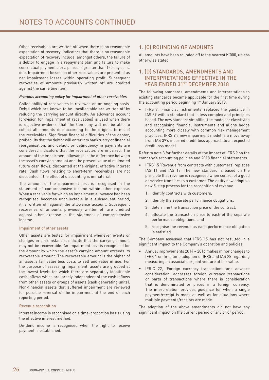Other receivables are written off when there is no reasonable expectation of recovery. Indicators that there is no reasonable expectation of recovery include, amongst others, the failure of a debtor to engage in a repayment plan and failure to make contractual payments for a period of greater than 120 days past due. Impairment losses on other receivables are presented as net impairment losses within operating profit. Subsequent recoveries of amounts previously written off are credited against the same line item.

#### *Previous accounting policy for impairment of other receivables*

Collectability of receivables is reviewed on an ongoing basis. Debts which are known to be uncollectable are written off by reducing the carrying amount directly. An allowance account (provision for impairment of receivables) is used when there is objective evidence that the Company will not be able to collect all amounts due according to the original terms of the receivables. Significant financial difficulties of the debtor, probability that the debtor will enter into bankruptcy or financial reorganisation, and default or delinquency in payments are considered indicators that the receivables are impaired. The amount of the impairment allowance is the difference between the asset's carrying amount and the present value of estimated future cash flows, discounted at the original effective interest rate. Cash flows relating to short-term receivables are not discounted if the effect of discounting is immaterial.

The amount of the impairment loss is recognised in the statement of comprehensive income within other expense. When a receivable for which an impairment allowance had been recognised becomes uncollectable in a subsequent period, it is written off against the allowance account. Subsequent recoveries of amounts previously written off are credited against other expense in the statement of comprehensive income.

#### Impairment of other assets

Other assets are tested for impairment whenever events or changes in circumstances indicate that the carrying amount may not be recoverable. An impairment loss is recognised for the amount by which the asset's carrying amount exceeds its recoverable amount. The recoverable amount is the higher of an asset's fair value less costs to sell and value in use. For the purpose of assessing impairment, assets are grouped at the lowest levels for which there are separately identifiable cash inflows which are largely independent of the cash inflows from other assets or groups of assets (cash generating units). Non-financial assets that suffered impairment are reviewed for possible reversal of the impairment at the end of each reporting period.

#### Revenue recognition

Interest income is recognised on a time-proportion basis using the effective interest method.

Dividend income is recognised when the right to receive payment is established.

## 1. (C) ROUNDING OF AMOUNTS

All amounts have been rounded off to the nearest K'000, unless otherwise stated.

## 1. (D) STANDARDS, AMENDMENTS AND INTERPRETATIONS EFFECTIVE IN THE YEAR ENDED 31ST DECEMBER 2018

The following standards, amendments and interpretations to existing standards became applicable for the first time during the accounting period beginning  $1<sup>st</sup>$  January 2018.

IFRS 9, 'Financial Instruments' replaced the guidance in IAS 39 with a standard that is less complex and principles based. The new standard simplifies the model for classifying and recognising financial instruments and aligns hedge accounting more closely with common risk management practices. IFRS 9's new impairment model is a move away from IAS 39's incurred credit loss approach to an expected credit loss model.

Refer to note 3 for further details of the impact of IFRS 9 on the company's accounting policies and 2018 financial statements.

- IFRS 15 'Revenue from contracts with customers' replaces IAS 11 and IAS 18. The new standard is based on the principle that revenue is recognised when control of a good or service transfers to a customer. The entity now adopts a new 5-step process for the recognition of revenue:
	- 1. identify contracts with customers,
	- 2. identify the separate performance obligations,
	- 3. determine the transaction price of the contract,
	- 4. allocate the transaction price to each of the separate performance obligations, and
	- 5. recognise the revenue as each performance obligation is satisfied.

The Company assessed that IFRS 15 has not resulted in a significant impact to the Company's operation and policies.

- Annual improvements 2014 2016 makes minor changes to IFRS 1 on first-time adoption of IFRS and IAS 28 regarding measuring an associate or joint venture at fair value.
- IFRIC 22, 'Foreign currency transactions and advance consideration' addresses foreign currency transactions or parts of transactions where there is consideration that is denominated or priced in a foreign currency. The interpretation provides guidance for when a single payment/receipt is made as well as for situations where multiple payments/receipts are made.

The adoption of the above amendments did not have any significant impact on the current period or any prior period.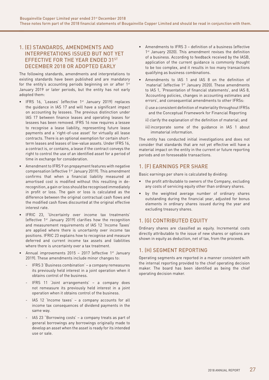## 1. (E) STANDARDS, AMENDMENTS AND INTERPRETATIONS ISSUED BUT NOT YET EFFECTIVE FOR THE YEAR ENDED 31ST DECEMBER 2018 OR ADOPTED EARLY

The following standards, amendments and interpretations to existing standards have been published and are mandatory for the entity's accounting periods beginning on or after 1<sup>st</sup> January 2019 or later periods, but the entity has not early adopted them:

- IFRS 16, 'Leases' (effective 1<sup>st</sup> January 2019) replaces the guidance in IAS 17 and will have a significant impact on accounting by lessees. The previous distinction under IAS 17 between finance leases and operating leases for lessees has been removed. IFRS 16 now requires a lessee to recognise a lease liability, representing future lease payments and a 'right-of-use asset' for virtually all lease contracts. There is an optional exemption for certain shortterm leases and leases of low-value assets. Under IFRS 16, a contract is, or contains, a lease if the contract conveys the right to control the use of an identified asset for a period of time in exchange for consideration.
- Amendment to IFRS 9 on prepayment features with negative compensation (effective 1st January 2019). This amendment confirms that when a financial liability measured at amortised cost is modified without this resulting in derecognition, a gain or loss should be recognised immediately in profit or loss. The gain or loss is calculated as the difference between the original contractual cash flows and the modified cash flows discounted at the original effective interest rate.
- • IFRIC 23, 'Uncertainty over income tax treatments' (effective 1st January 2019) clarifies how the recognition and measurement requirements of IAS 12 'Income Taxes' are applied where there is uncertainty over income tax positions. IFRIC 23 explains how to recognise and measure deferred and current income tax assets and liabilities where there is uncertainty over a tax treatment.
- Annual improvements  $2015 2017$  (effective 1st January 2019). These amendments include minor changes to:
	- IFRS 3 'Business combination' a company remeasures its previously held interest in a joint operation when it obtains control of the business.
	- IFRS 11 'Joint arrangements' a company does not remeasure its previously held interest in a joint operation when it obtains control of the business.
	- $\text{IAS}$  12 'Income taxes' a company accounts for all income tax consequences of dividend payments in the same way.
	- IAS 23 "Borrowing costs' a company treats as part of general borrowings any borrowings originally made to develop an asset when the asset is ready for its intended use or sale.
- Amendments to IFRS 3 definition of a business (effective 1<sup>st</sup> January 2020). This amendment revises the definition of a business. According to feedback received by the IASB, application of the current guidance is commonly thought to be too complex, and it results in too many transactions qualifying as business combinations.
- Amendments to IAS 1 and IAS 8 on the definition of 'material' (effective 1st January 2020). These amendments to IAS 1, 'Presentation of financial statements', and IAS 8, 'Accounting policies, changes in accounting estimates and errors', and consequential amendments to other IFRSs:
	- i) use a consistent definition of materiality throughout IFRSs and the Conceptual Framework for Financial Reporting
	- ii) clarify the explanation of the definition of material; and
	- iii) incorporate some of the guidance in IAS 1 about immaterial information.

The entity has conducted initial investigations and does not consider that standards that are not yet effective will have a material impact on the entity in the current or future reporting periods and on foreseeable transactions.

## 1. (F) EARNINGS PER SHARE

Basic earnings per share is calculated by dividing:

- the profit attributable to owners of the Company, excluding any costs of servicing equity other than ordinary shares.
- • by the weighted average number of ordinary shares outstanding during the financial year, adjusted for bonus elements in ordinary shares issued during the year and excluding treasury shares.

## 1. (G) CONTRIBUTED EQUITY

Ordinary shares are classified as equity. Incremental costs directly attributable to the issue of new shares or options are shown in equity as deduction, net of tax, from the proceeds.

## 1. (H) SEGMENT REPORTING

Operating segments are reported in a manner consistent with the internal reporting provided to the chief operating decision maker. The board has been identified as being the chief operating decision maker.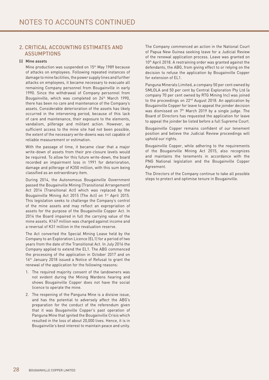## 2. CRITICAL ACCOUNTING ESTIMATES AND ASSUMPTIONS

#### (i) Mine assets

Mine production was suspended on 15th May 1989 because of attacks on employees. Following repeated instances of damage to mine facilities,the power supply lines and further attacks on employees, it became necessary to evacuate all remaining Company personnel from Bougainville in early 1990. Since the withdrawal of Company personnel from Bougainville, which was completed on 24<sup>th</sup> March 1990, there has been no care and maintenance of the Company's assets. Considerable deterioration of the assets has likely occurred in the intervening period, because of this lack of care and maintenance, their exposure to the elements, vandalism, pilferage and militant action. However, as sufficient access to the mine site had not been possible, the extent of the necessary write-downs was not capable of reliable measurement or estimation.

With the passage of time, it became clear that a major write-down of assets from their pre-closure levels would be required. To allow for this future write-down, the board recorded an impairment loss in 1991 for deterioration, damage and pilferage of K350 million, with this sum being classified as an extraordinary item.

During 2014, the Autonomous Bougainville Government passed the Bougainville Mining (Transitional Arrangement) Act 2014 (Transitional Act) which was replaced by the Bougainville Mining Act 2015 (The Act) on 1st April 2015. This legislation seeks to challenge the Company's control of the mine assets and may reflect an expropriation of assets for the purpose of the Bougainville Copper Act. In 2014 the Board impaired in full the carrying value of the mine assets. K167 million was charged against income and a reversal of K31 million in the revaluation reserve.

The Act converted the Special Mining Lease held by the Company to an Exploration Licence (EL1) for a period of two years from the date of the Transitional Act. In July 2016 the Company applied to extend the EL1. The ABG commenced the processing of the application in October 2017 and on 16<sup>th</sup> January 2018 issued a Notice of Refusal to grant the renewal of the application for the following reasons:

- 1. The required majority consent of the landowners was not evident during the Mining Wardens hearing and shows Bougainville Copper does not have the social licence to operate the mine.
- 2. The reopening of the Panguna Mine is a divisive issue, and has the potential to adversely affect the ABG's preparation for the conduct of the referendum given that it was Bougainville Copper's past operation of Panguna Mine that ignited the Bougainville Crisis which resulted in the loss of about 20,000 lives. Hence, it is in Bougainville's best interest to maintain peace and unity.

The Company commenced an action in the National Court of Papua New Guinea seeking leave for a Judicial Review of the renewal application process. Leave was granted on 10<sup>th</sup> April 2018. A restraining order was granted against the defendants, the ABG, from giving effect to or relying on the decision to refuse the application by Bougainville Copper for extension of EL1.

Panguna Minerals Limited, a company 50 per cent owned by SMLOLA and 50 per cent by Central Exploration Pty Ltd (a company 70 per cent owned by RTG Mining Inc) was joined to the proceedings on 22<sup>nd</sup> August 2018. An application by Bougainville Copper for leave to appeal the joinder decision was dismissed on 7th March 2019 by a single judge. The Board of Directors has requested the application for leave to appeal the joinder be listed before a full Supreme Court.

Bougainville Copper remains confident of our tenement position and believe the Judicial Review proceedings will uphold our rights.

Bougainville Copper, while adhering to the requirements of the Bougainville Mining Act 2015, also recognizes and maintains the tenements in accordance with the PNG National legislation and the Bougainville Copper Agreement.

The Directors of the Company continue to take all possible steps to protect and optimise tenure in Bougainville.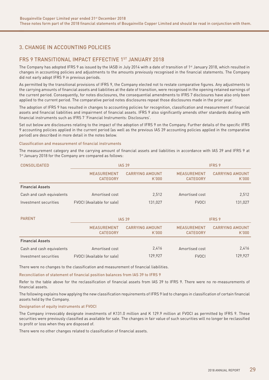## 3. CHANGE IN ACCOUNTING POLICIES

## FRS 9 TRANSITIONAL IMPACT EFFECTIVE 1ST JANUARY 2018

The Company has adopted IFRS 9 as issued by the IASB in July 2014 with a date of transition of 1<sup>st</sup> January 2018, which resulted in changes in accounting policies and adjustments to the amounts previously recognised in the financial statements. The Company did not early adopt IFRS 9 in previous periods.

As permitted by the transitional provisions of IFRS 9, the Company elected not to restate comparative figures. Any adjustments to the carrying amounts of financial assets and liabilities at the date of transition, were recognised in the opening retained earnings of the current period. Consequently, for notes disclosures, the consequential amendments to IFRS 7 disclosures have also only been applied to the current period. The comparative period notes disclosures repeat those disclosures made in the prior year.

The adoption of IFRS 9 has resulted in changes to accounting policies for recognition, classification and measurement of financial assets and financial liabilities and impairment of financial assets. IFRS 9 also significantly amends other standards dealing with financial instruments such as IFRS 7 'Financial Instruments: Disclosures'.

Set out below are disclosures relating to the impact of the adoption of IFRS 9 on the Company. Further details of the specific IFRS 9 accounting policies applied in the current period (as well as the previous IAS 39 accounting policies applied in the comparative period) are described in more detail in the notes below.

#### Classification and measurement of financial instruments

The measurement category and the carrying amount of financial assets and liabilities in accordance with IAS 39 and IFRS 9 at 1<sup>st</sup> January 2018 for the Company are compared as follows:

| <b>CONSOLIDATED</b>       | <b>IAS 39</b>                         |                                 |                                       | <b>IFRS 9</b>                   |  |
|---------------------------|---------------------------------------|---------------------------------|---------------------------------------|---------------------------------|--|
|                           | <b>MEASUREMENT</b><br><b>CATEGORY</b> | <b>CARRYING AMOUNT</b><br>K'000 | <b>MEASUREMENT</b><br><b>CATEGORY</b> | <b>CARRYING AMOUNT</b><br>K'000 |  |
| <b>Financial Assets</b>   |                                       |                                 |                                       |                                 |  |
| Cash and cash equivalents | Amortised cost                        | 2.512                           | Amortised cost                        | 2,512                           |  |
| Investment securities     | FVOCI (Available for sale)            | 131,027                         | <b>FVOCI</b>                          | 131,027                         |  |

| <b>PARENT</b>             |                                       | <b>IFRS 9</b><br><b>IAS 39</b>  |                                       |                                 |
|---------------------------|---------------------------------------|---------------------------------|---------------------------------------|---------------------------------|
|                           | <b>MEASUREMENT</b><br><b>CATEGORY</b> | <b>CARRYING AMOUNT</b><br>K'000 | <b>MEASUREMENT</b><br><b>CATEGORY</b> | <b>CARRYING AMOUNT</b><br>K'000 |
| <b>Financial Assets</b>   |                                       |                                 |                                       |                                 |
| Cash and cash equivalents | Amortised cost                        | 2.416                           | Amortised cost                        | 2,416                           |
| Investment securities     | FVOCI (Available for sale)            | 129,927                         | <b>FVOCI</b>                          | 129,927                         |

There were no changes to the classification and measurement of financial liabilities.

Reconciliation of statement of financial position balances from IAS 39 to IFRS 9

Refer to the table above for the reclassification of financial assets from IAS 39 to IFRS 9. There were no re-measurements of financial assets.

The following explains how applying the new classification requirements of IFRS 9 led to changes in classification of certain financial assets held by the Company.

#### Designation of equity instruments at FVOCI

The Company irrevocably designate investments of K131.0 million and K 129.9 million at FVOCI as permitted by IFRS 9. These securities were previously classified as available for sale. The changes in fair value of such securities will no longer be reclassified to profit or loss when they are disposed of.

There were no other changes related to classification of financial assets.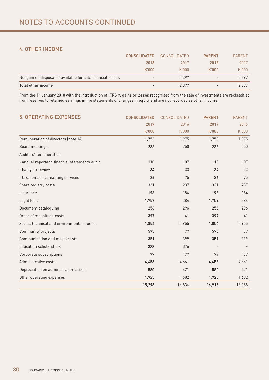## 4. OTHER INCOME

| Total other income                                          | $\overline{\phantom{0}}$ | 2.397        | $\overline{\phantom{a}}$ | 2,397         |
|-------------------------------------------------------------|--------------------------|--------------|--------------------------|---------------|
| Net gain on disposal of available for sale financial assets | $\overline{\phantom{a}}$ | 2.397        | $\overline{\phantom{a}}$ | 2,397         |
|                                                             | K'000                    | K.000        | K'000                    | K'000         |
|                                                             | 2018                     | 2017         | 2018                     | 2017          |
|                                                             | <b>CONSOLIDATED</b>      | CONSOLIDATED | <b>PARENT</b>            | <b>PARENT</b> |

From the 1<sup>st</sup> January 2018 with the introduction of IFRS 9, gains or losses recognised from the sale of investments are reclassified from reserves to retained earnings in the statements of changes in equity and are not recorded as other income.

| <b>5. OPERATING EXPENSES</b>                  | <b>CONSOLIDATED</b> | CONSOLIDATED | <b>PARENT</b> | <b>PARENT</b> |
|-----------------------------------------------|---------------------|--------------|---------------|---------------|
|                                               | 2017                | 2016         | 2017          | 2016          |
|                                               | K'000               | K'000        | K'000         | K'000         |
| Remuneration of directors (note 14)           | 1,753               | 1,975        | 1,753         | 1,975         |
| Board meetings                                | 236                 | 250          | 236           | 250           |
| Auditors' remuneration                        |                     |              |               |               |
| - annual reportand financial statements audit | 110                 | 107          | 110           | 107           |
| - half year review                            | 34                  | 33           | 34            | 33            |
| - taxation and consulting services            | 26                  | 75           | 26            | 75            |
| Share registry costs                          | 331                 | 237          | 331           | 237           |
| Insurance                                     | 196                 | 184          | 196           | 184           |
| Legal fees                                    | 1,759               | 384          | 1,759         | 384           |
| Document cataloguing                          | 256                 | 296          | 256           | 296           |
| Order of magnitude costs                      | 397                 | 41           | 397           | 41            |
| Social, technical and environmental studies   | 1,854               | 2,955        | 1,854         | 2,955         |
| Community projects                            | 575                 | 79           | 575           | 79            |
| Communication and media costs                 | 351                 | 399          | 351           | 399           |
| <b>Education scholarships</b>                 | 383                 | 876          |               |               |
| Corporate subscriptions                       | 79                  | 179          | 79            | 179           |
| Administrative costs                          | 4,453               | 4,661        | 4,453         | 4,661         |
| Depreciation on administration assets         | 580                 | 421          | 580           | 421           |
| Other operating expenses                      | 1,925               | 1,682        | 1,925         | 1,682         |
|                                               | 15,298              | 14,834       | 14,915        | 13,958        |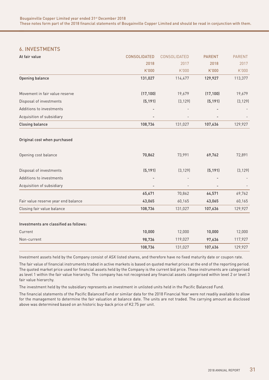## 6. INVESTMENTS

| At fair value                          | <b>CONSOLIDATED</b> | CONSOLIDATED | <b>PARENT</b>            | <b>PARENT</b> |
|----------------------------------------|---------------------|--------------|--------------------------|---------------|
|                                        | 2018                | 2017         | 2018                     | 2017          |
|                                        | K'000               | K'000        | K'000                    | K'000         |
| Opening balance                        | 131,027             | 114,477      | 129,927                  | 113,377       |
| Movement in fair value reserve         | (17, 100)           | 19,679       | (17, 100)                | 19,679        |
| Disposal of investments                | (5, 191)            | (3, 129)     | (5, 191)                 | (3, 129)      |
| Additions to investments               |                     |              |                          |               |
| Acquisition of subsidiary              |                     |              |                          |               |
| <b>Closing balance</b>                 | 108,736             | 131,027      | 107,636                  | 129,927       |
| Original cost when purchased           |                     |              |                          |               |
| Opening cost balance                   | 70,862              | 73,991       | 69,762                   | 72,891        |
| Disposal of investments                | (5, 191)            | (3, 129)     | (5, 191)                 | (3, 129)      |
| Additions to investments               |                     |              |                          |               |
| Acquisition of subsidiary              | ÷                   |              | $\overline{\phantom{a}}$ |               |
|                                        | 65,671              | 70,862       | 64,571                   | 69,762        |
| Fair value reserve year end balance    | 43,065              | 60,165       | 43,065                   | 60,165        |
| Closing fair value balance             | 108,736             | 131,027      | 107,636                  | 129,927       |
| Investments are classified as follows: |                     |              |                          |               |
| Current                                | 10,000              | 12,000       | 10,000                   | 12,000        |
| Non-current                            | 98,736              | 119,027      | 97,636                   | 117,927       |
|                                        | 108,736             | 131,027      | 107,636                  | 129,927       |

Investment assets held by the Company consist of ASX listed shares, and therefore have no fixed maturity date or coupon rate.

The fair value of financial instruments traded in active markets is based on quoted market prices at the end of the reporting period. The quoted market price used for financial assets held by the Company is the current bid price. These instruments are categorised as level 1 within the fair value hierarchy. The company has not recognised any financial assets categorised within level 2 or level 3 fair value hierarchy.

The investment held by the subsidiary represents an investment in unlisted units held in the Pacific Balanced Fund.

The financial statements of the Pacific Balanced Fund or similar data for the 2018 Financial Year were not readily available to allow for the management to determine the fair valuation at balance date. The units are not traded. The carrying amount as disclosed above was determined based on an historic buy-back price of K2.75 per unit.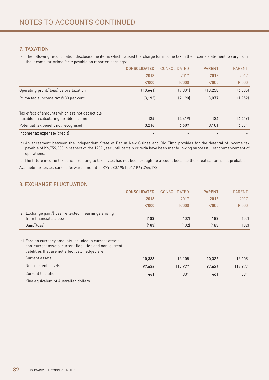## 7. TAXATION

(a) The following reconciliation discloses the items which caused the charge for income tax in the income statement to vary from the income tax prima facie payable on reported earnings:

|                                                                                           | <b>CONSOLIDATED</b> | CONSOLIDATED | <b>PARENT</b> | <b>PARENT</b> |
|-------------------------------------------------------------------------------------------|---------------------|--------------|---------------|---------------|
|                                                                                           | 2018                | 2017         | 2018          | 2017          |
|                                                                                           | K'000               | K.000        | K'000         | K'000         |
| Operating profit/(loss) before taxation                                                   | (10,641)            | (7, 301)     | (10, 258)     | (6, 505)      |
| Prima facie income tax @ 30 per cent                                                      | (3, 192)            | (2, 190)     | (3,077)       | (1, 952)      |
| Tax effect of amounts which are not deductible<br>(taxable) in calculating taxable income | (24)                | (4, 419)     | (24)          | (4, 419)      |
| Potential tax benefit not recognised                                                      | 3,216               | 6,609        | 3,101         | 6,371         |
| Income tax expense/(credit)                                                               |                     |              |               |               |

(b) An agreement between the Independent State of Papua New Guinea and Rio Tinto provides for the deferral of income tax payable of K6,759,000 in respect of the 1989 year until certain criteria have been met following successful recommencement of operations.

(c) The future income tax benefit relating to tax losses has not been brought to account because their realisation is not probable. 

Available tax losses carried forward amount to K79,580,195 (2017 K69,244,173)

## 8. EXCHANGE FLUCTUATION

|                                                                                                                                                                         | <b>CONSOLIDATED</b> | CONSOLIDATED | <b>PARENT</b> | <b>PARENT</b> |
|-------------------------------------------------------------------------------------------------------------------------------------------------------------------------|---------------------|--------------|---------------|---------------|
|                                                                                                                                                                         | 2018                | 2017         | 2018          | 2017          |
|                                                                                                                                                                         | K'000               | K'000        | K'000         | K.000         |
| (a) Exchange gain/(loss) reflected in earnings arising<br>from financial assets:                                                                                        | (183)               | (102)        | (183)         | (102)         |
| Gain/(loss)                                                                                                                                                             | (183)               | (102)        | (183)         | (102)         |
| (b) Foreign currency amounts included in current assets,<br>non-current assets, current liabilities and non-current<br>liabilities that are not effectively hedged are: |                     |              |               |               |
| Current assets                                                                                                                                                          | 10,333              | 13,105       | 10,333        | 13,105        |
| Non-current assets                                                                                                                                                      | 97,636              | 117,927      | 97,636        | 117,927       |
| Current liabilities                                                                                                                                                     | 461                 | 331          | 461           | 331           |
| Kina equivalent of Australian dollars                                                                                                                                   |                     |              |               |               |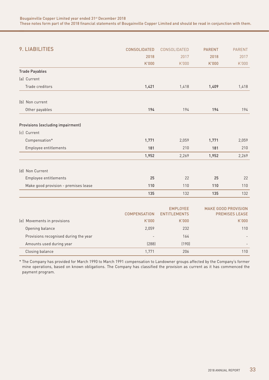| 9. LIABILITIES                        | <b>CONSOLIDATED</b> | CONSOLIDATED                           | <b>PARENT</b> | <b>PARENT</b>                                       |
|---------------------------------------|---------------------|----------------------------------------|---------------|-----------------------------------------------------|
|                                       | 2018                | 2017                                   | 2018          | 2017                                                |
|                                       | K'000               | K'000                                  | K'000         | K'000                                               |
| <b>Trade Payables</b>                 |                     |                                        |               |                                                     |
| (a) Current                           |                     |                                        |               |                                                     |
| Trade creditors                       | 1,421               | 1,418                                  | 1,409         | 1,418                                               |
| (b) Non current                       |                     |                                        |               |                                                     |
| Other payables                        | 194                 | 194                                    | 194           | 194                                                 |
| Provisions (excluding impairment)     |                     |                                        |               |                                                     |
| (c) Current                           |                     |                                        |               |                                                     |
| Compensation*                         | 1,771               | 2,059                                  | 1,771         | 2,059                                               |
| Employee entitlements                 | 181                 | 210                                    | 181           | 210                                                 |
|                                       | 1,952               | 2,269                                  | 1,952         | 2,269                                               |
| (d) Non Current                       |                     |                                        |               |                                                     |
| Employee entitlements                 | 25                  | 22                                     | 25            | 22                                                  |
| Make good provision - premises lease  | 110                 | 110                                    | 110           | 110                                                 |
|                                       | 135                 | 132                                    | 135           | 132                                                 |
|                                       | <b>COMPENSATION</b> | <b>EMPLOYEE</b><br><b>ENTITLEMENTS</b> |               | <b>MAKE GOOD PROVISION</b><br><b>PREMISES LEASE</b> |
| (e) Movements in provisions           | K'000               | K'000                                  |               | K'000                                               |
| Opening balance                       | 2,059               | 232                                    |               | 110                                                 |
| Provisions recognised during the year |                     | 164                                    |               |                                                     |
| Amounts used during year              | (288)               | (190)                                  |               |                                                     |
| Closing balance                       | 1,771               | 206                                    |               | 110                                                 |

\* The Company has provided for March 1990 to March 1991 compensation to Landowner groups affected by the Company's former mine operations, based on known obligations. The Company has classified the provision as current as it has commenced the payment program.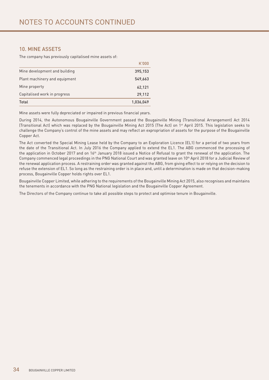## 10. MINE ASSETS

The company has previously capitalised mine assets of:

|                               | K'000     |
|-------------------------------|-----------|
| Mine development and building | 395,153   |
| Plant machinery and equipment | 549,663   |
| Mine property                 | 62,121    |
| Capitalised work in progress  | 29,112    |
| Total                         | 1,036,049 |

Mine assets were fully depreciated or impaired in previous financial years.

During 2014, the Autonomous Bougainville Government passed the Bougainville Mining (Transitional Arrangement) Act 2014 (Transitional Act) which was replaced by the Bougainville Mining Act 2015 (The Act) on 1st April 2015. This legislation seeks to challenge the Company's control of the mine assets and may reflect an expropriation of assets for the purpose of the Bougainville Copper Act.

The Act converted the Special Mining Lease held by the Company to an Exploration Licence (EL1) for a period of two years from the date of the Transitional Act. In July 2016 the Company applied to extend the EL1. The ABG commenced the processing of the application in October 2017 and on 16<sup>th</sup> January 2018 issued a Notice of Refusal to grant the renewal of the application. The Company commenced legal proceedings in the PNG National Court and was granted leave on 10<sup>th</sup> April 2018 for a Judicial Review of the renewal application process. A restraining order was granted against the ABG, from giving effect to or relying on the decision to refuse the extension of EL1. So long as the restraining order is in place and, until a determination is made on that decision-making process, Bougainville Copper holds rights over EL1.

Bougainville Copper Limited, while adhering to the requirements of the Bougainville Mining Act 2015, also recognises and maintains the tenements in accordance with the PNG National legislation and the Bougainville Copper Agreement.

The Directors of the Company continue to take all possible steps to protect and optimise tenure in Bougainville.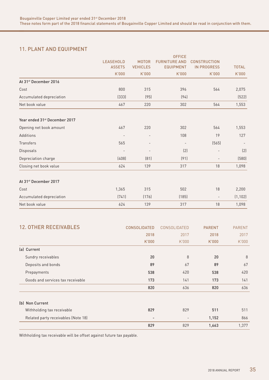## 11. PLANT AND EQUIPMENT

|                                           |                          |                          | <b>OFFICE</b>            |                          |               |
|-------------------------------------------|--------------------------|--------------------------|--------------------------|--------------------------|---------------|
|                                           | <b>LEASEHOLD</b>         | <b>MOTOR</b>             | <b>FURNITURE AND</b>     | <b>CONSTRUCTION</b>      |               |
|                                           | <b>ASSETS</b>            | <b>VEHICLES</b>          | <b>EQUIPMENT</b>         | <b>IN PROGRESS</b>       | <b>TOTAL</b>  |
|                                           | K'000                    | K'000                    | K'000                    | K'000                    | K'000         |
| At 31 <sup>st</sup> December 2016         |                          |                          |                          |                          |               |
| Cost                                      | 800                      | 315                      | 396                      | 564                      | 2,075         |
| Accumulated depreciation                  | (333)                    | (95)                     | (94)                     |                          | (522)         |
| Net book value                            | 467                      | 220                      | 302                      | 564                      | 1,553         |
| Year ended 31 <sup>st</sup> December 2017 |                          |                          |                          |                          |               |
| Opening net book amount                   | 467                      | 220                      | 302                      | 564                      | 1,553         |
| Additions                                 | $\overline{\phantom{a}}$ |                          | 108                      | 19                       | 127           |
| Transfers                                 | 565                      |                          | $\overline{\phantom{a}}$ | (565)                    |               |
| Disposals                                 | $\overline{\phantom{0}}$ | $\overline{\phantom{a}}$ | (2)                      | $\overline{\phantom{a}}$ | (2)           |
| Depreciation charge                       | (408)                    | (81)                     | (91)                     | $\overline{\phantom{0}}$ | (580)         |
| Closing net book value                    | 624                      | 139                      | 317                      | 18                       | 1,098         |
| At 31 <sup>st</sup> December 2017         |                          |                          |                          |                          |               |
| Cost                                      | 1,365                    | 315                      | 502                      | 18                       | 2,200         |
| Accumulated depreciation                  | (741)                    | (176)                    | (185)                    | $\overline{\phantom{a}}$ | (1, 102)      |
| Net book value                            | 624                      | 139                      | 317                      | 18                       | 1,098         |
| <b>12. OTHER RECEIVABLES</b>              |                          | <b>CONSOLIDATED</b>      | CONSOLIDATED             | <b>PARENT</b>            | <b>PARENT</b> |
|                                           |                          | 2018                     | 2017                     | 2018                     | 2017          |
|                                           |                          | 1/1000                   | 1/1000                   | I/N000                   | 1/1000        |

|                                     | 2018                     | 2017                     | 2018  | 2017  |
|-------------------------------------|--------------------------|--------------------------|-------|-------|
|                                     | K'000                    | K'000                    | K'000 | K.000 |
| (a) Current                         |                          |                          |       |       |
| Sundry receivables                  | 20                       | 8                        | 20    | 8     |
| Deposits and bonds                  | 89                       | 67                       | 89    | 67    |
| Prepayments                         | 538                      | 420                      | 538   | 420   |
| Goods and services tax receivable   | 173                      | 141                      | 173   | 141   |
|                                     | 820                      | 636                      | 820   | 636   |
| (b) Non Current                     |                          |                          |       |       |
| Withholding tax receivable          | 829                      | 829                      | 511   | 511   |
| Related party receivables (Note 18) | $\overline{\phantom{a}}$ | $\overline{\phantom{a}}$ | 1,152 | 866   |
|                                     | 829                      | 829                      | 1,663 | 1,377 |

Withholding tax receivable will be offset against future tax payable.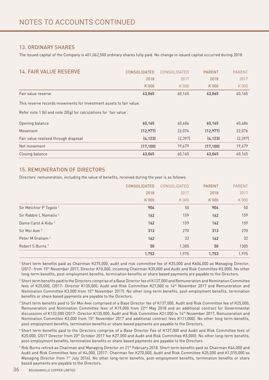## 13. ORDINARY SHARES

The issued capital of the Company is 401,062,500 ordinary shares fully paid. No change in issued capital occurred during 2018.

| <b>14. FAIR VALUE RESERVE</b>                                       | <b>CONSOLIDATED</b> | CONSOLIDATED | <b>PARENT</b> | <b>PARENT</b> |
|---------------------------------------------------------------------|---------------------|--------------|---------------|---------------|
|                                                                     | 2018                | 2017         | 2018          | 2017          |
|                                                                     | K'000               | K'000        | K'000         | K'000         |
| Fair value reserve                                                  | 43,065              | 60,165       | 43,065        | 60,165        |
| This reserve records movements for Investment assets to fair value. |                     |              |               |               |
| Refer note 1 (b) and note 20(q) for calculations for 'fair value'.  |                     |              |               |               |
| Opening balance                                                     | 60,165              | 40,486       | 60,165        | 40,486        |
| Movement                                                            | (12, 977)           | 22,076       | (12, 977)     | 22,076        |
| Fair value realised through disposal                                | (4, 123)            | (2, 397)     | (4, 123)      | [2, 397]      |
| Net movement                                                        | (17, 100)           | 19,679       | (17, 100)     | 19,679        |
| Closing balance                                                     | 43,065              | 60,165       | 43,065        | 60,165        |

## 15. REMUNERATION OF DIRECTORS

Directors' remuneration, including the value of benefits, received during the year is as follows:

|                                    | <b>CONSOLIDATED</b> | <b>CONSOLIDATED</b> | <b>PARENT</b> | <b>PARENT</b> |
|------------------------------------|---------------------|---------------------|---------------|---------------|
|                                    | 2018                | 2017                | 2018          | 2017          |
|                                    | K'000               | K'000               | K'000         | K'000         |
| Sir Melchior P Togolo <sup>1</sup> | 904                 | 50                  | 904           | 50            |
| Sir Rabbie L Namaliu <sup>2</sup>  | 162                 | 159                 | 162           | 159           |
| Dame Carol A Kidu <sup>2</sup>     | 162                 | 159                 | 162           | 159           |
| Sir Moi Avei <sup>3</sup>          | 313                 | 270                 | 313           | 270           |
| Peter M Graham <sup>4</sup>        | 162                 | 32                  | 162           | 32            |
| Robert S Burns <sup>5</sup>        | 50                  | 1,305               | 50            | 1305          |
|                                    | 1,753               | 1,975               | 1,753         | 1,975         |

1 Short term benefits paid as Chairman K275,000, audit and risk committee fee of K25,000 and K604,000 as Managing Director, (2017- from 15th November 2017, Director K10,000, incoming Chairman K35,000 and Audit and Risk Committee K5,000). No other long-term benefits, post-employment benefits, termination benefits or share based payments are payable to the Directors.

2 Short term benefits paid to the Directors comprise of a Base Director fee of K137,000 and Remuneration and Nomination Committee fees of K25,000, (2017- Director K135,000, Audit and Risk Committee K21,000 to 14th November 2017 and Remuneration and Nomination Committee K3,000 from 15th November 2017). No other long-term benefits, post-employment benefits, termination benefits or share based payments are payable to the Directors.

3 Short term benefits paid to Sir Moi Avei comprised of a Base Director fee of K137,000, Audit and Risk Committee fee of K25,000, Remuneration and Nomination Committee fees of K19,000 from 22<sup>nd</sup> May 2018 and an additional contract for Governmental discussions of K132,000 (2017- Director K135,000, Audit and Risk Committee K21,000 to 14th November 2017, Remuneration and Nomination Committee K3,000 from 15th November 2017 and additional contract fees K111,000). No other long term-benefits, post-employment benefits, termination benefits or share based payments are payable to the Directors.

4 Short term benefits paid to the Directors comprise of a Base Director Fee of K137,000 and Audit and Risk Committee fees of K25,000, (2017 Director from 20<sup>th</sup> October 2017 fee K27,000 and Audit and Risk Committee K5,000). No other long-term benefits, post-employment benefits, termination benefits or share based payments are payable to the Directors.

 $^5$  Rob Burns retired as Chairman and Managing Director on 21st February 2018. Short term benefits paid as Chairman K46,000 and Audit and Risk Committee fees of K4,000, (2017- Chairman fee K270,000, Audit and Risk Committee K25,000 and K1,010,000 as Managing Director from 1<sup>st</sup> July 2016). No other long-term benefits, post-employment benefits, termination benefits or share based payments are payable to the Directors.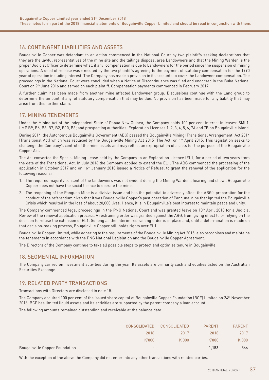## 16. CONTINGENT LIABILITIES AND ASSETS

Bougainville Copper was defendant to an action commenced in the National Court by two plaintiffs seeking declarations that they are the lawful representatives of the mine site and the tailings disposal area Landowners and that the Mining Warden is the proper Judicial Officer to determine what, if any, compensation is due to Landowners for the period since the suspension of mining operations. A deed of release was executed by the two plaintiffs agreeing to the payment of statutory compensation for the 1990 year of operation including interest. The Company has made a provision in its accounts to cover the Landowner compensation. The proceedings in the National Court were concluded when a Notice of Discontinuance was filed and endorsed in the Buka National Court on 9th June 2016 and served on each plaintiff. Compensation payments commenced in February 2017.

A further claim has been made from another mine affected Landowner group. Discussions continue with the Land group to determine the amount, if any, of statutory compensation that may be due. No provision has been made for any liability that may arise from this further claim.

## 17. MINING TENEMENTS

Under the Mining Act of the Independent State of Papua New Guinea, the Company holds 100 per cent interest in leases: SML1, LMP B9, B6, B8, B7, B2, B10, B3; and prospecting authorities: Exploration Licenses 1, 2, 3, 4, 5, 6, 7A and 7B on Bougainville Island.

During 2014, the Autonomous Bougainville Government (ABG) passed the Bougainville Mining (Transitional Arrangement) Act 2014 (Transitional Act) which was replaced by the Bougainville Mining Act 2015 (The Act) on 1st April 2015. This legislation seeks to challenge the Company's control of the mine assets and may reflect an expropriation of assets for the purpose of the Bougainville Copper Act.

The Act converted the Special Mining Lease held by the Company to an Exploration Licence (EL1) for a period of two years from the date of the Transitional Act. In July 2016 the Company applied to extend the EL1. The ABG commenced the processing of the application in October 2017 and on 16th January 2018 issued a Notice of Refusal to grant the renewal of the application for the following reasons:

- 1. The required majority consent of the landowners was not evident during the Mining Wardens hearing and shows Bougainville Copper does not have the social licence to operate the mine.
- 2. The reopening of the Panguna Mine is a divisive issue and has the potential to adversely affect the ABG's preparation for the conduct of the referendum given that it was Bougainville Copper's past operation of Panguna Mine that ignited the Bougainville Crisis which resulted in the loss of about 20,000 lives. Hence, it is in Bougainville's best interest to maintain peace and unity.

The Company commenced legal proceedings in the PNG National Court and was granted leave on 10<sup>th</sup> April 2018 for a Judicial Review of the renewal application process. A restraining order was granted against the ABG, from giving effect to or relying on the decision to refuse the extension of EL1. So long as the interim restraining order is in place and, until a determination is made on that decision-making process, Bougainville Copper still holds rights over EL1.

Bougainville Copper Limited, while adhering to the requirements of the Bougainville Mining Act 2015, also recognises and maintains the tenements in accordance with the PNG National Legislation and the Bougainville Copper Agreement.

The Directors of the Company continue to take all possible steps to protect and optimise tenure in Bougainville.

## 18. SEGMENTAL INFORMATION

The Company carried on investment activities during the year. Its assets are primarily cash and equities listed on the Australian Securities Exchange.

## 19. RELATED PARTY TRANSACTIONS

Transactions with Directors are disclosed in note 15.

The Company acquired 100 per cent of the issued share capital of Bougainville Copper Foundation (BCF) Limited on 24<sup>th</sup> November 2016. BCF has limited liquid assets and its activities are supported by the parent company a loan account

The following amounts remained outstanding and receivable at the balance date:

|                                       | <b>CONSOLIDATED</b>      | CONSOLIDATED             | <b>PARENT</b> | <b>PARENT</b> |
|---------------------------------------|--------------------------|--------------------------|---------------|---------------|
|                                       | 2018                     | 2017                     | 2018          | 2017          |
|                                       | K'000                    | K.000                    | K'000         | K.000         |
| <b>Bougainville Copper Foundation</b> | $\overline{\phantom{a}}$ | $\overline{\phantom{0}}$ | 1.153         | 866           |

With the exception of the above the Company did not enter into any other transactions with related parties.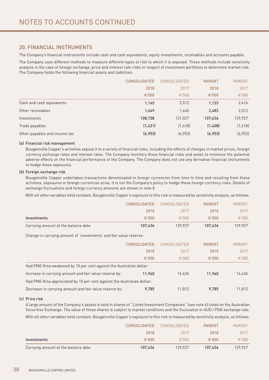## 20. FINANCIAL INSTRUMENTS

The Company's financial instruments include cash and cash equivalents, equity investments, receivables and accounts payable.

The Company uses different methods to measure different types of risk to which it is exposed. These methods include sensitivity analysis in the case of foreign exchange, price and interest rate risks in respect of investment portfolios to determine market risk. The Company holds the following financial assets and liabilities:

|                               | <b>CONSOLIDATED</b> | CONSOLIDATED | <b>PARENT</b> | <b>PARENT</b> |
|-------------------------------|---------------------|--------------|---------------|---------------|
|                               | 2018                | 2017         | 2018          | 2017          |
|                               | K'000               | K.000        | K'000         | K.000         |
| Cash and cash equivalents     | 1,145               | 2,512        | 1,133         | 2,416         |
| Other receivables             | 1,649               | 1,465        | 2,483         | 2,012         |
| Investments                   | 108,738             | 131,027      | 107,636       | 129,927       |
| Trade payables                | (1,421)             | (1, 418)     | (1,408)       | (1, 418)      |
| Other payables and income tax | (6, 953)            | (6, 953)     | (6, 953)      | (6, 953)      |

#### (a) Financial risk management

Bougainville Copper's activities expose it to a variety of financial risks, including the effects of changes in market prices, foreign currency exchange rates and interest rates. The Company monitors these financial risks and seeks to minimize the potential adverse effects on the financial performance of the Company. The Company does not use any derivative financial instruments to hedge these exposures.

#### (b) Foreign exchange risk

Bougainville Copper undertakes transactions denominated in foreign currencies from time to time and resulting from these activities, exposures in foreign currencies arise. It is not the Company's policy to hedge these foreign currency risks. Details of exchange fluctuations and foreign currency amounts are shown in note 8.

With all other variables held constant, Bougainville Copper's exposure to this risk is measured by sensitivity analysis, as follows:

|                                                                        | <b>CONSOLIDATED</b> | CONSOLIDATED        | <b>PARENT</b> | <b>PARENT</b> |
|------------------------------------------------------------------------|---------------------|---------------------|---------------|---------------|
|                                                                        | 2018                | 2017                | 2018          | 2017          |
| Investments                                                            | K'000               | K'000               | K'000         | K'000         |
| Carrying amount at the balance date                                    | 107,636             | 129,927             | 107,636       | 129,927       |
| Change in carrying amount of 'investments' and fair value reserve:     |                     |                     |               |               |
|                                                                        | <b>CONSOLIDATED</b> | <b>CONSOLIDATED</b> | <b>PARENT</b> | <b>PARENT</b> |
|                                                                        | 2018                | 2017                | 2018          | 2017          |
|                                                                        | K'000               | K'000               | K'000         | K'000         |
| Had PNG Kina weakened by 10 per cent against the Australian dollar:    |                     |                     |               |               |
| Increase in carrying amount and fair value reserve by:                 | 11,960              | 14,436              | 11,960        | 14,436        |
| Had PNG Kina appreciated by 10 per cent against the Australian dollar: |                     |                     |               |               |
| Decrease in carrying amount and fair value reserve by:                 | 9.785               | 11.812              | 9.785         | 11,812        |

#### (c) Price risk

A large amount of the Company's assets is held in shares of "Listed Investment Companies" (see note 6) listed on the Australian Securities Exchange. The value of these shares is subject to market conditions and the fluctuation in AUD / PGK exchange rate. With all other variables held constant, Bougainville Copper's exposure to this risk is measured by sensitivity analysis, as follows:

|                                     | <b>CONSOLIDATED</b> | CONSOLIDATED | <b>PARENT</b> | <b>PARFNT</b> |
|-------------------------------------|---------------------|--------------|---------------|---------------|
|                                     | 2018                | 2017         | 2018          | 2017          |
| Investments                         | K'000               | K'OOO        | K'000         | K'000         |
| Carrying amount at the balance date | 107.636             | 129.927      | 107.636       | 129.927       |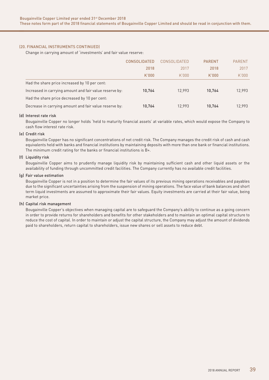#### (20. FINANCIAL INSTRUMENTS CONTINUED)

Change in carrying amount of 'investments' and fair value reserve:

|                                                         | <b>CONSOLIDATED</b> | CONSOLIDATED | <b>PARENT</b> | <b>PARENT</b> |
|---------------------------------------------------------|---------------------|--------------|---------------|---------------|
|                                                         | 2018                | 2017         | 2018          | 2017          |
|                                                         | K'000               | K'000        | K'000         | K'000         |
| Had the share price increased by 10 per cent:           |                     |              |               |               |
| Increased in carrying amount and fair value reserve by: | 10.764              | 12.993       | 10.764        | 12.993        |
| Had the share price decreased by 10 per cent:           |                     |              |               |               |
| Decrease in carrying amount and fair value reserve by:  | 10.764              | 12.993       | 10.764        | 12.993        |

#### (d) Interest rate risk

Bougainville Copper no longer holds 'held to maturity financial assets' at variable rates, which would expose the Company to cash flow interest rate risk.

#### (e) Credit risk

Bougainville Copper has no significant concentrations of net credit risk. The Company manages the credit risk of cash and cash equivalents held with banks and financial institutions by maintaining deposits with more than one bank or financial institutions. The minimum credit rating for the banks or financial institutions is B+.

#### (f) Liquidity risk

Bougainville Copper aims to prudently manage liquidity risk by maintaining sufficient cash and other liquid assets or the availability of funding through uncommitted credit facilities. The Company currently has no available credit facilities.

#### (g) Fair value estimation

Bougainville Copper is not in a position to determine the fair values of its previous mining operations receivables and payables due to the significant uncertainties arising from the suspension of mining operations. The face value of bank balances and short term liquid investments are assumed to approximate their fair values. Equity investments are carried at their fair value, being market price.

#### (h) Capital risk management

Bougainville Copper's objectives when managing capital are to safeguard the Company's ability to continue as a going concern in order to provide returns for shareholders and benefits for other stakeholders and to maintain an optimal capital structure to reduce the cost of capital. In order to maintain or adjust the capital structure, the Company may adjust the amount of dividends paid to shareholders, return capital to shareholders, issue new shares or sell assets to reduce debt.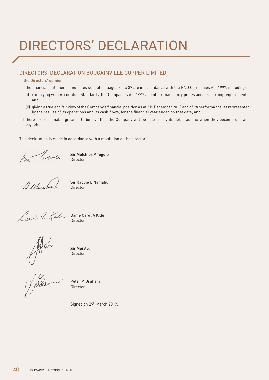## DIRECTORS' DECLARATION

## DIRECTORS' DECLARATION BOUGAINVILLE COPPER LIMITED

#### In the Directors' opinion

- (a) the financial statements and notes set out on pages 20 to 39 are in accordance with the PNG Companies Act 1997, including:
	- (i) complying with Accounting Standards, the Companies Act 1997 and other mandatory professional reporting requirements; and
	- (ii) giving a true and fair view of the Company's financial position as at 31<sup>st</sup> December 2018 and of its performance, as represented by the results of its operations and its cash flows, for the financial year ended on that date; and
- (b) there are reasonable grounds to believe that the Company will be able to pay its debts as and when they become due and payable.

This declaration is made in accordance with a resolution of the directors.

Sir Melchior P Togolo Director

serile

Sir Rabbie L Namaliu Director

Dame Carol A Kidu Director

Sir Moi Avei Director

Jiffron

Peter M Graham Director

Signed on 29th March 2019.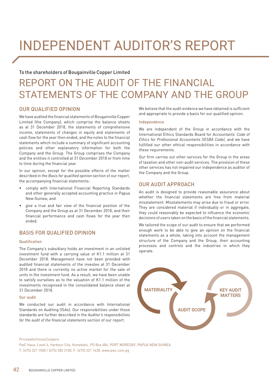## INDEPENDENT AUDITOR'S REPORT

## To the shareholders of Bougainville Copper Limited

## REPORT ON THE AUDIT OF THE FINANCIAL STATEMENTS OF THE COMPANY AND THE GROUP

## OUR QUALIFIED OPINION

We have audited the financial statements of Bougainville Copper Limited (the Company), which comprise the balance sheets as at 31 December 2018, the statements of comprehensive income, statements of changes in equity and statements of cash flow for the year then ended, and the notes to the financial statements which include a summary of significant accounting policies and other explanatory information for both the Company and the Group. The Group comprises the Company and the entities it controlled at 31 December 2018 or from time to time during the financial year.

In our opinion, except for the possible effects of the matter described in the *Basis for qualified opinion* section of our report, the accompanying financial statements:

- • comply with International Financial Reporting Standards and other generally accepted accounting practice in Papua New Guinea; and
- give a true and fair view of the financial position of the Company and the Group as at 31 December 2018, and their financial performance and cash flows for the year then ended.

## BASIS FOR QUALIFIED OPINION

#### Qualification

The Company's subsidiary holds an investment in an unlisted investment fund with a carrying value of K1.1 million at 31 December 2018. Management have not been provided with audited financial statements of the investee at 31 December 2018 and there is currently no active market for the sale of units in the investment fund. As a result, we have been unable to satisfy ourselves as to the valuation of K1.1 million of the investments recognised in the consolidated balance sheet at 31 December 2018.

#### Our audit

We conducted our audit in accordance with International Standards on Auditing (ISAs). Our responsibilities under those standards are further described in the *Auditor's responsibilities for the audit of the financial statements* section of our report.

We believe that the audit evidence we have obtained is sufficient and appropriate to provide a basis for our qualified opinion.

#### Independence

We are independent of the Group in accordance with the International Ethics Standards Board for Accountants' *Code of Ethics for Professional Accountants (IESBA Code)*, and we have fulfilled our other ethical responsibilities in accordance with these requirements.

Our firm carries out other services for the Group in the areas of taxation and other non-audit services. The provision of these other services has not impaired our independence as auditor of the Company and the Group.

## OUR AUDIT APPROACH

An audit is designed to provide reasonable assurance about whether the financial statements are free from material misstatement. Misstatements may arise due to fraud or error. They are considered material if individually or in aggregate, they could reasonably be expected to influence the economic decisions of users taken on the basis ofthe financial statements.

We tailored the scope of our audit to ensure that we performed enough work to be able to give an opinion on the financial statements as a whole, taking into account the management structure of the Company and the Group, their accounting processes and controls and the industries in which they operate.



PricewaterhouseCoopers

PwC Haus, Level 6, Harbour City, Konedobu. PO Box 484, PORT MORESBY, PAPUA NEW GUINEA

T: (675) 321 1500 / (675) 305 3100, F: (675) 321 1428, www.pwc.com.pg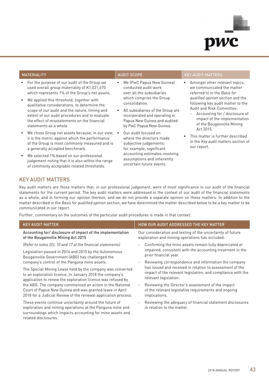

- For the purpose of our audit of the Group we used overall group materiality of K1,021,670 which represents 1% of the Group's net assets.
- We applied this threshold, together with qualitative considerations, to determine the scope of our audit and the nature, timing and extent of our audit procedures and to evaluate the effect of misstatements on the financial statements as a whole.
- We chose Group net assets because, in our view, it is the metric against which the performance of the Group is most commonly measured and is a generally accepted benchmark.
- We selected 1% based on our professional judgement noting that it is also within the range of commonly acceptable related thresholds.

- We (PwC Papua New Guinea) conducted audit work over all the subsidiaries which comprise the Group consolidation.
- All subsidiaries of the Group are incorporated and operating in Papua New Guinea and audited by PwC Papua New Guinea.
- Our audit focused on where the directors made subjective judgements; for example, significant accounting estimates involving assumptions and inherently uncertain future events.

#### MATERIALITY **AUDIT SCOPE AUDIT SCOPE AUDIT SCOPE KEY AUDIT MATTERS**

- Amongst other relevant topics, we communicated the matter referred to in the *Basis for qualified opinion* section and the following key audit matter to the Audit and Risk Committee:
	- Accounting for / disclosure of impact of the implementation of the Bougainville Mining Act 2015.
- This matter is further described in the *Key audit matters* section of our report.

## KEY AUDIT MATTERS

related disclosures.

Key audit matters are those matters that, in our professional judgement, were of most significance in our audit of the financial statements for the current period. The key audit matters were addressed in the context of our audit of the financial statements as a whole, and in forming our opinion thereon, and we do not provide a separate opinion on these matters. In addition to the matter described in the *Basis for qualified opinion* section, we have determined the matter described below to be a key matter to be communicated in our report.

Further, commentary on the outcomes of the particular audit procedures is made in that context.

| <b>KEY AUDIT MATTER</b>                                                                                                                                                                | HOW OUR AUDIT ADDRESSED THE KEY MATTER                                                                                                          |
|----------------------------------------------------------------------------------------------------------------------------------------------------------------------------------------|-------------------------------------------------------------------------------------------------------------------------------------------------|
| Accounting for/disclosure of impact of the implementation                                                                                                                              | Our consideration and testing of the uncertainty of future                                                                                      |
| of the Bougainville Mining Act 2015                                                                                                                                                    | exploration and mining operations has included:                                                                                                 |
| (Refer to notes 2(i), 10 and 17 of the financial statements)                                                                                                                           | Confirming the mine assets remain fully depreciated or<br>$\overline{\phantom{a}}$                                                              |
| Legislation passed in 2014 and 2015 by the Autonomous                                                                                                                                  | impaired, consistent with the accounting treatment in the                                                                                       |
| Bougainville Government (ABG) has challenged the                                                                                                                                       | prior financial year.                                                                                                                           |
| company's control of the Panguna mine assets.                                                                                                                                          | Reviewing correspondence and information the company<br>$\overline{\phantom{a}}$                                                                |
| The Special Mining Lease held by the company was converted                                                                                                                             | has issued and received in relation to assessment of the                                                                                        |
| to an exploration licence. In January 2018 the company's                                                                                                                               | impact of the relevant legislation, and compliance with the                                                                                     |
| application to renew the exploration licence was refused by                                                                                                                            | relevant legislation.                                                                                                                           |
| the ABG. The company commenced an action in the National<br>Court of Papua New Guinea and was granted leave in April<br>2018 for a Judicial Review of the renewal application process. | Reviewing the Director's assessment of the impact<br>$\qquad \qquad -$<br>of the relevant legislative requirements and ongoing<br>implications. |
| These events continue uncertainty around the future of                                                                                                                                 | Reviewing the adequacy of financial statement disclosures                                                                                       |
| exploration and mining operations at the Panguna mine and                                                                                                                              | $\overline{\phantom{a}}$                                                                                                                        |
| surroundings which impacts accounting for mine assets and                                                                                                                              | in relation to the matter.                                                                                                                      |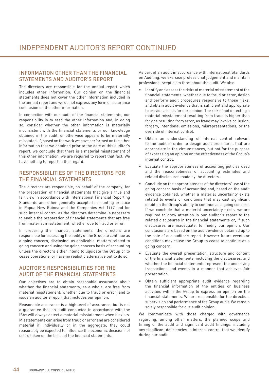## INFORMATION OTHER THAN THE FINANCIAL STATEMENTS AND AUDITOR'S REPORT

The directors are responsible for the annual report which includes other information. Our opinion on the financial statements does not cover the other information included in the annual report and we do not express any form of assurance conclusion on the other information.

In connection with our audit of the financial statements, our responsibility is to read the other information and, in doing so, consider whether the other information is materially inconsistent with the financial statements or our knowledge obtained in the audit, or otherwise appears to be materially misstated. If, based on the work we have performed on the other information that we obtained prior to the date of this auditor's report, we conclude that there is a material misstatement of this other information, we are required to report that fact. We have nothing to report in this regard.

## RESPONSIBILITIES OF THE DIRECTORS FOR THE FINANCIAL STATEMENTS

The directors are responsible, on behalf of the company, for the preparation of financial statements that give a true and fair view in accordance with International Financial Reporting Standards and other generally accepted accounting practice in Papua New Guinea and the Companies Act 1997 and for such internal control as the directors determine is necessary to enable the preparation of financial statements that are free from material misstatement, whether due to fraud or error.

In preparing the financial statements, the directors are responsible for assessing the ability of the Group to continue as a going concern, disclosing, as applicable, matters related to going concern and using the going concern basis of accounting unless the directors either intend to liquidate the Group or to cease operations, or have no realistic alternative but to do so.

## AUDITOR'S RESPONSIBILITIES FOR THE AUDIT OF THE FINANCIAL STATEMENTS

Our objectives are to obtain reasonable assurance about whether the financial statements, as a whole, are free from material misstatement, whether due to fraud or error, and to issue an auditor's report that includes our opinion.

Reasonable assurance is a high level of assurance, but is not a guarantee that an audit conducted in accordance with the ISAs will always detect a material misstatement when it exists. Misstatements can arise from fraud or error and are considered material if, individually or in the aggregate, they could reasonably be expected to influence the economic decisions of users taken on the basis of the financial statements.

As part of an audit in accordance with International Standards on Auditing, we exercise professional judgement and maintain professional scepticism throughout the audit. We also:

- Identify and assess the risks of material misstatement of the financial statements, whether due to fraud or error, design and perform audit procedures responsive to those risks, and obtain audit evidence that is sufficient and appropriate to provide a basis for our opinion. The risk of not detecting a material misstatement resulting from fraud is higher than for one resulting from error, as fraud may involve collusion, forgery, intentional omissions, misrepresentations, or the override of internal control.
- Obtain an understanding of internal control relevant to the audit in order to design audit procedures that are appropriate in the circumstances, but not for the purpose of expressing an opinion on the effectiveness of the Group's internal control.
- Evaluate the appropriateness of accounting policies used and the reasonableness of accounting estimates and related disclosures made by the directors.
- Conclude on the appropriateness of the directors' use of the going concern basis of accounting and, based on the audit evidence obtained, whether a material uncertainty exists related to events or conditions that may cast significant doubt on the Group's ability to continue as a going concern. If we conclude that a material uncertainty exists, we are required to draw attention in our auditor's report to the related disclosures in the financial statements or, if such disclosures are inadequate, to modify our opinion. Our conclusions are based on the audit evidence obtained up to the date of our auditor's report. However future events or conditions may cause the Group to cease to continue as a going concern.
- Evaluate the overall presentation, structure and content of the financial statements, including the disclosures, and whether the financial statements represent the underlying transactions and events in a manner that achieves fair presentation.
- Obtain sufficient appropriate audit evidence regarding the financial information of the entities or business activities within the Group to express an opinion on the financial statements. We are responsible for the direction, supervision and performance of the Group audit. We remain solely responsible for our audit opinion.

We communicate with those charged with governance regarding, among other matters, the planned scope and timing of the audit and significant audit findings, including any significant deficiencies in internal control that we identify during our audit.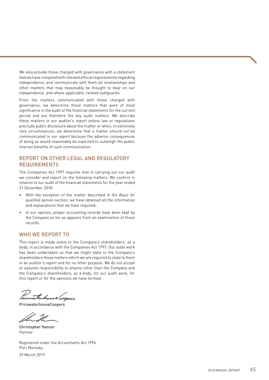We also provide those charged with governance with a statement that we have complied with relevant ethical requirements regarding independence, and communicate with them all relationships and other matters that may reasonably be thought to bear on our independence, and where applicable, related safeguards.

From the matters communicated with those charged with governance, we determine those matters that were of most significance in the audit of the financial statements for the current period and are therefore the key audit matters. We describe these matters in our auditor's report unless law or regulations preclude public disclosure about the matter or when, in extremely rare circumstances, we determine that a matter should not be communicated in our report because the adverse consequences of doing so would reasonably be expected to outweigh the public interest benefits of such communication.

## REPORT ON OTHER LEGAL AND REGULATORY REQUIREMENTS

The Companies Act 1997 requires that in carrying out our audit we consider and report on the following matters. We confirm in relation to our audit of the financial statements for the year ended 31 December 2018:

- With the exception of the matter described in the *Basis for qualified opinion* section, we have obtained all the information and explanations that we have required;
- In our opinion, proper accounting records have been kept by the Company as far as appears from an examination of those records.

## WHO WE REPORT TO

This report is made solely to the Company's shareholders, as a body, in accordance with the Companies Act 1997. Our audit work has been undertaken so that we might state to the Company's shareholders those matters which we are required to state to them in an auditor's report and for no other purpose. We do not accept or assume responsibility to anyone other than the Company and the Company's shareholders, as a body, for our audit work, for this report or for the opinions we have formed.

technic Corpor,

PricewaterhouseCoopers

Christopher Hansor Partner

Registered under the Accountants Act 1996 Port Moresby

29 March 2019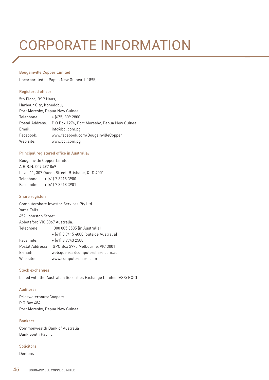## CORPORATE INFORMATION

#### Bougainville Copper Limited

(Incorporated in Papua New Guinea 1-1895)

#### Registered office:

5th Floor, BSP Haus, Harbour City, Konedobu, Port Moresby, Papua New Guinea Telephone: + (675) 309 2800 Postal Address: P O Box 1274, Port Moresby, Papua New Guinea Email: info@bcl.com.pg Facebook: www.facebook.com/BougainvilleCopper Web site: www.bcl.com.pg

#### Principal registered office in Australia:

Bougainville Copper Limited A.R.B.N. 007 497 869 Level 11, 307 Queen Street, Brisbane, QLD 4001 Telephone: + (61) 7 3218 3900 Facsimile: + (61) 7 3218 3901

#### Share register:

Computershare Investor Services Pty Ltd Yarra Falls 452 Johnston Street Abbotsford VIC 3067 Australia. Telephone: 1300 805 0505 (in Australia) + (61) 3 9415 4000 (outside Australia) Facsimile: + (61) 3 9743 2500 Postal Address: GPO Box 2975 Melbourne, VIC 3001 E-mail: web.queries@computershare.com.au Web site: www.computershare.com

#### Stock exchanges:

Listed with the Australian Securities Exchange Limited (ASX: BOC)

#### Auditors:

PricewaterhouseCoopers P O Box 484 Port Moresby, Papua New Guinea

### Bankers:

Commonwealth Bank of Australia Bank South Pacific

### Solicitors:

Dentons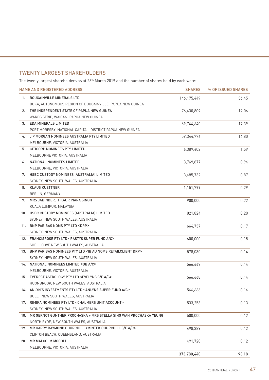## TWENTY LARGEST SHAREHOLDERS

The twenty largest shareholders as at 28<sup>th</sup> March 2019 and the number of shares held by each were:

|     | <b>NAME AND REGISTERED ADDRESS</b>                                              | <b>SHARES</b> | % OF ISSUED SHARES |
|-----|---------------------------------------------------------------------------------|---------------|--------------------|
| 1.  | <b>BOUGAINVILLE MINERALS LTD</b>                                                | 146, 175, 449 | 36.45              |
|     | BUKA, AUTONOMOUS REGION OF BOUGAINVILLE, PAPUA NEW GUINEA                       |               |                    |
| 2.  | THE INDEPENDENT STATE OF PAPUA NEW GUINEA                                       | 76,430,809    | 19.06              |
|     | WARDS STRIP, WAIGANI PAPUA NEW GUINEA                                           |               |                    |
| 3.  | EDA MINERALS LIMITED                                                            | 69,744,640    | 17.39              |
|     | PORT MORESBY, NATIONAL CAPITAL, DISTRICT PAPUA NEW GUINEA                       |               |                    |
| 4.  | J P MORGAN NOMINEES AUSTRALIA PTY LIMITED                                       | 59,344,776    | 14.80              |
|     | MELBOURNE, VICTORIA, AUSTRALIA                                                  |               |                    |
| 5.  | CITICORP NOMINEES PTY LIMITED                                                   | 6,389,402     | 1.59               |
|     | MELBOURNE VICTORIA, AUSTRALIA                                                   |               |                    |
| 6.  | NATIONAL NOMINEES LIMITED                                                       | 3,769,877     | 0.94               |
|     | MELBOURNE, VICTORIA, AUSTRALIA                                                  |               |                    |
| 7.  | HSBC CUSTODY NOMINEES (AUSTRALIA) LIMITED                                       | 3,485,732     | 0.87               |
|     | SYDNEY, NEW SOUTH WALES, AUSTRALIA                                              |               |                    |
| 8.  | <b>KLAUS KUETTNER</b>                                                           | 1,151,799     | 0.29               |
|     | BERLIN, GERMANY                                                                 |               |                    |
| 9.  | MRS JABINDERJIT KAUR PIARA SINGH                                                | 900,000       | 0.22               |
|     | KUALA LUMPUR, MALAYSIA                                                          |               |                    |
|     | 10. HSBC CUSTODY NOMINEES (AUSTRALIA) LIMITED                                   | 821,824       | 0.20               |
|     | SYDNEY, NEW SOUTH WALES, AUSTRALIA                                              |               |                    |
|     | 11. BNP PARIBAS NOMS PTY LTD <drp></drp>                                        | 664,737       | 0.17               |
|     | SYDNEY, NEW SOUTH WALES, AUSTRALIA                                              |               |                    |
|     | 12. FRANCISROSE PTY LTD <rastys a="" c="" fund="" super=""></rastys>            | 600,000       | 0.15               |
|     | SHELL COVE NEW SOUTH WALES, AUSTRALIA                                           |               |                    |
|     | 13. BNP PARIBAS NOMINEES PTY LTD <ib au="" drp="" noms="" retailclient=""></ib> | 578,030       | 0.14               |
|     | SYDNEY, NEW SOUTH WALES, AUSTRALIA                                              |               |                    |
| 14. | NATIONAL NOMINEES LIMITED <db a="" c=""></db>                                   | 566,669       | 0.14               |
|     | MELBOURNE, VICTORIA, AUSTRALIA                                                  |               |                    |
|     | 15. EVEREST ASTROLOGY PTY LTD <evelyns a="" c="" f="" s=""></evelyns>           | 566,668       | 0.14               |
|     | HUONBROOK, NEW SOUTH WALES, AUSTRALIA                                           |               |                    |
|     | 16. ANLYN'S INVESTMENTS PTY LTD <anlyns a="" c="" fund="" super=""></anlyns>    | 566,666       | 0.14               |
|     | BULLI, NEW SOUTH WALES, AUSTRALIA                                               |               |                    |
| 17. | RIMIKA NOMINEES PTY LTD <chalmers account="" unit=""></chalmers>                | 533,253       | 0.13               |
|     | SYDNEY, NEW SOUTH WALES, AUSTRALIA                                              |               |                    |
| 18. | MR GERNOT GUNTHER PROCHASKA + MRS STELLA SING WAH PROCHASKA YEUNG               | 500,000       | 0.12               |
|     | NORTH RYDE, NEW SOUTH WALES, AUSTRALIA                                          |               |                    |
| 19. | MR GARRY RAYMOND CHURCHILL <mintek a="" c="" churchill="" f="" s=""></mintek>   | 498,389       | 0.12               |
|     | CLIFTON BEACH, QUEENSLAND, AUSTRALIA                                            |               |                    |
| 20. | MR MALCOLM MCCOLL                                                               | 491,720       | 0.12               |
|     | MELBOURNE, VICTORIA, AUSTRALIA                                                  |               |                    |
|     |                                                                                 | 373,780,440   | 93.18              |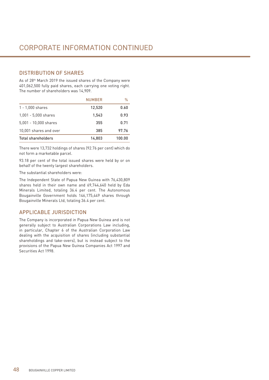## DISTRIBUTION OF SHARES

As of 28<sup>th</sup> March 2019 the issued shares of the Company were 401,062,500 fully paid shares, each carrying one voting right. The number of shareholders was 14,909.

|                        | <b>NUMBER</b> | $\%$   |
|------------------------|---------------|--------|
| $1 - 1,000$ shares     | 12,520        | 0.60   |
| $1,001 - 5,000$ shares | 1.543         | 0.93   |
| 5,001 - 10,000 shares  | 355           | 0.71   |
| 10,001 shares and over | 385           | 97.76  |
| Total shareholders     | 14.803        | 100.00 |

There were 13,732 holdings of shares (92.76 per cent) which do not form a marketable parcel.

93.18 per cent of the total issued shares were held by or on behalf of the twenty largest shareholders.

The substantial shareholders were:

The Independent State of Papua New Guinea with 76,430,809 shares held in their own name and 69,744,640 held by Eda Minerals Limited, totaling 36.4 per cent. The Autonomous Bougainville Government holds 146,175,449 shares through Bougainville Minerals Ltd, totaling 36.4 per cent.

## APPLICABLE JURISDICTION

The Company is incorporated in Papua New Guinea and is not generally subject to Australian Corporations Law including, in particular, Chapter 6 of the Australian Corporation Law dealing with the acquisition of shares (including substantial shareholdings and take-overs), but is instead subject to the provisions of the Papua New Guinea Companies Act 1997 and Securities Act 1998.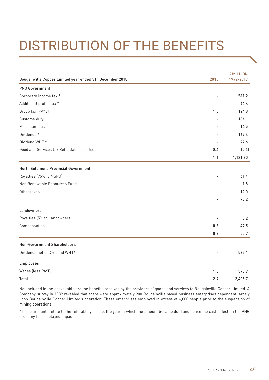# DISTRIBUTION OF THE BENEFITS

| Bougainville Copper Limited year ended 31 <sup>st</sup> December 2018 | 2018                     | <b>K MILLION</b><br>1972-2017 |
|-----------------------------------------------------------------------|--------------------------|-------------------------------|
| <b>PNG Government</b>                                                 |                          |                               |
| Corporate income tax *                                                |                          | 541.2                         |
| Additional profits tax *                                              |                          | 72.6                          |
| Group tax (PAYE)                                                      | 1.5                      | 124.8                         |
| Customs duty                                                          |                          | 104.1                         |
| Miscellaneous                                                         |                          | 14.5                          |
| Dividends *                                                           |                          | 167.4                         |
| Dividend WHT <sup>*</sup>                                             |                          | 97.6                          |
| Good and Services tax Refundable or offset                            | (0.4)                    | (0.4)                         |
|                                                                       | 1.1                      | 1,121.80                      |
| North Solomons Provincial Government                                  |                          |                               |
| Royalties (95% to NSPG)                                               |                          | 61.4                          |
| Non Renewable Resources Fund                                          |                          | 1.8                           |
| Other taxes                                                           |                          | 12.0                          |
|                                                                       | $\overline{\phantom{a}}$ | 75.2                          |
| Landowners                                                            |                          |                               |
| Royalties (5% to Landowners)                                          |                          | 3.2                           |
| Compensation                                                          | 0.3                      | 47.5                          |
|                                                                       | 0.3                      | 50.7                          |
| Non-Government Shareholders                                           |                          |                               |
| Dividends net of Dividend WHT*                                        |                          | 582.1                         |
| Employees                                                             |                          |                               |
| Wages (less PAYE)                                                     | 1.3                      | 575.9                         |
| Total                                                                 | 2.7                      | 2,405.7                       |

Not included in the above table are the benefits received by the providers of goods and services to Bougainville Copper Limited. A Company survey in 1989 revealed that there were approximately 200 Bougainville based business enterprises dependent largely upon Bougainville Copper Limited's operation. These enterprises employed in excess of 4,000 people prior to the suspension of mining operations.

\*These amounts relate to the referable year (i.e. the year in which the amount became due) and hence the cash effect on the PNG economy has a delayed impact.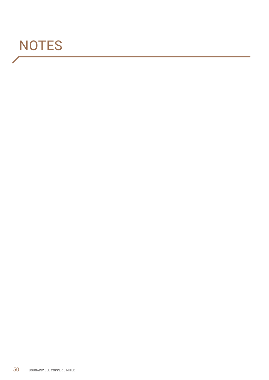## **NOTES**